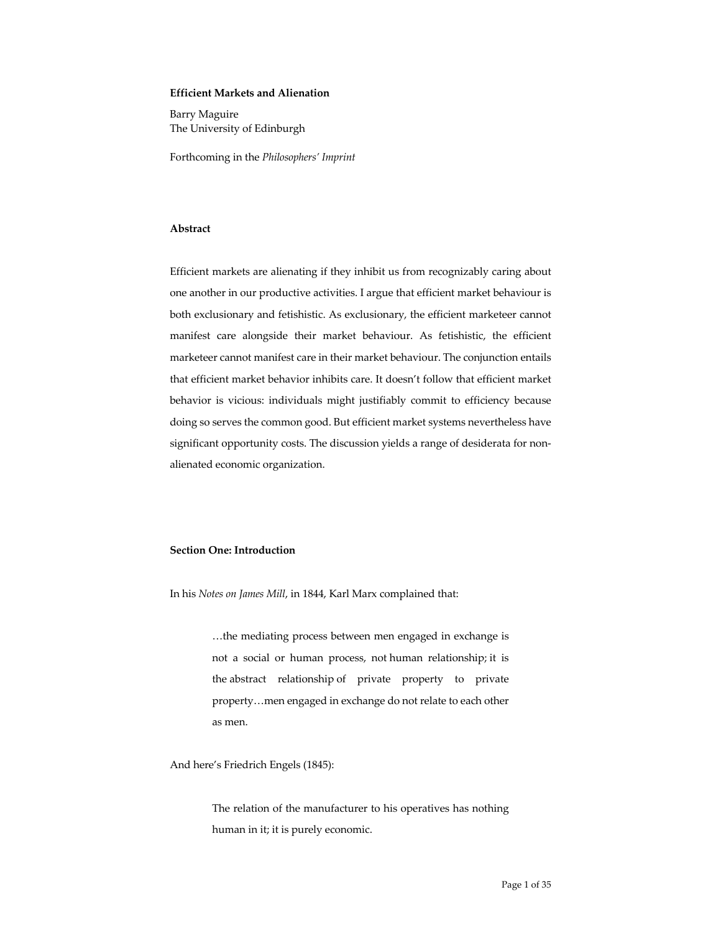## **Efficient Markets and Alienation**

Barry Maguire The University of Edinburgh

Forthcoming in the *Philosophers' Imprint*

# **Abstract**

Efficient markets are alienating if they inhibit us from recognizably caring about one another in our productive activities. I argue that efficient market behaviour is both exclusionary and fetishistic. As exclusionary, the efficient marketeer cannot manifest care alongside their market behaviour. As fetishistic, the efficient marketeer cannot manifest care in their market behaviour. The conjunction entails that efficient market behavior inhibits care. It doesn't follow that efficient market behavior is vicious: individuals might justifiably commit to efficiency because doing so serves the common good. But efficient market systems nevertheless have significant opportunity costs. The discussion yields a range of desiderata for nonalienated economic organization.

#### **Section One: Introduction**

In his *Notes on James Mill*, in 1844, Karl Marx complained that:

…the mediating process between men engaged in exchange is not a social or human process, not human relationship; it is the abstract relationship of private property to private property…men engaged in exchange do not relate to each other as men.

And here's Friedrich Engels (1845):

The relation of the manufacturer to his operatives has nothing human in it; it is purely economic.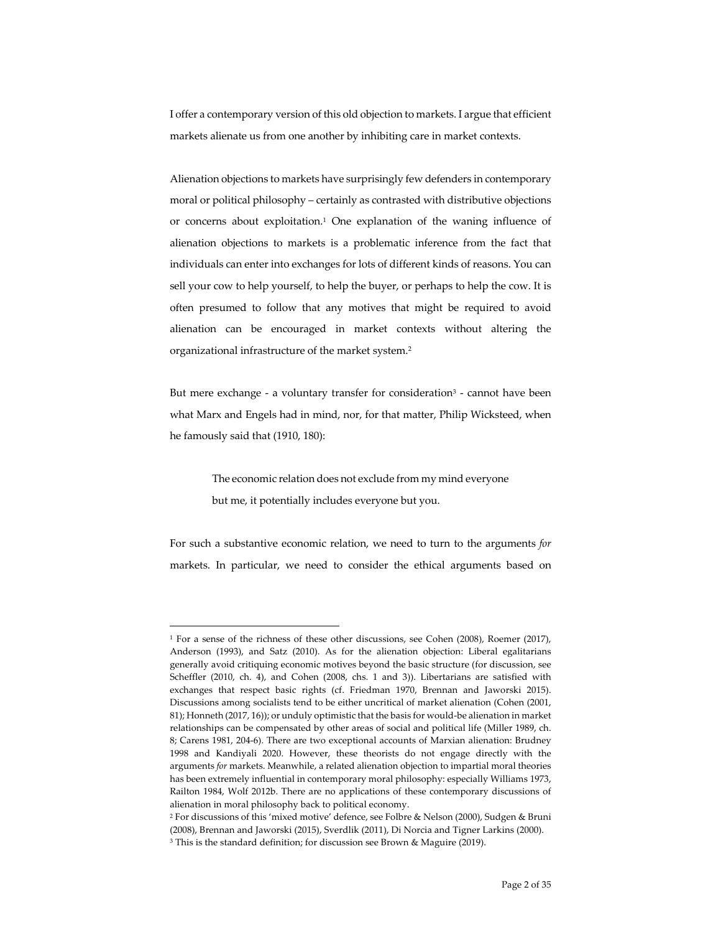I offer a contemporary version of this old objection to markets. I argue that efficient markets alienate us from one another by inhibiting care in market contexts.

Alienation objections to markets have surprisingly few defenders in contemporary moral or political philosophy – certainly as contrasted with distributive objections or concerns about exploitation. <sup>1</sup> One explanation of the waning influence of alienation objections to markets is a problematic inference from the fact that individuals can enter into exchanges for lots of different kinds of reasons. You can sell your cow to help yourself, to help the buyer, or perhaps to help the cow. It is often presumed to follow that any motives that might be required to avoid alienation can be encouraged in market contexts without altering the organizational infrastructure of the market system.2

But mere exchange - a voluntary transfer for consideration<sup>3</sup> - cannot have been what Marx and Engels had in mind, nor, for that matter, Philip Wicksteed, when he famously said that (1910, 180):

> The economic relation does not exclude from my mind everyone but me, it potentially includes everyone but you.

For such a substantive economic relation, we need to turn to the arguments *for* markets. In particular, we need to consider the ethical arguments based on

<sup>1</sup> For a sense of the richness of these other discussions, see Cohen (2008), Roemer (2017), Anderson (1993), and Satz (2010). As for the alienation objection: Liberal egalitarians generally avoid critiquing economic motives beyond the basic structure (for discussion, see Scheffler (2010, ch. 4), and Cohen (2008, chs. 1 and 3)). Libertarians are satisfied with exchanges that respect basic rights (cf. Friedman 1970, Brennan and Jaworski 2015). Discussions among socialists tend to be either uncritical of market alienation (Cohen (2001, 81); Honneth (2017, 16)); or unduly optimistic that the basis for would-be alienation in market relationships can be compensated by other areas of social and political life (Miller 1989, ch. 8; Carens 1981, 204-6). There are two exceptional accounts of Marxian alienation: Brudney 1998 and Kandiyali 2020. However, these theorists do not engage directly with the arguments *for* markets. Meanwhile, a related alienation objection to impartial moral theories has been extremely influential in contemporary moral philosophy: especially Williams 1973, Railton 1984, Wolf 2012b. There are no applications of these contemporary discussions of alienation in moral philosophy back to political economy.

<sup>2</sup> For discussions of this 'mixed motive' defence, see Folbre & Nelson (2000), Sudgen & Bruni (2008), Brennan and Jaworski (2015), Sverdlik (2011), Di Norcia and Tigner Larkins (2000). <sup>3</sup> This is the standard definition; for discussion see Brown & Maguire (2019).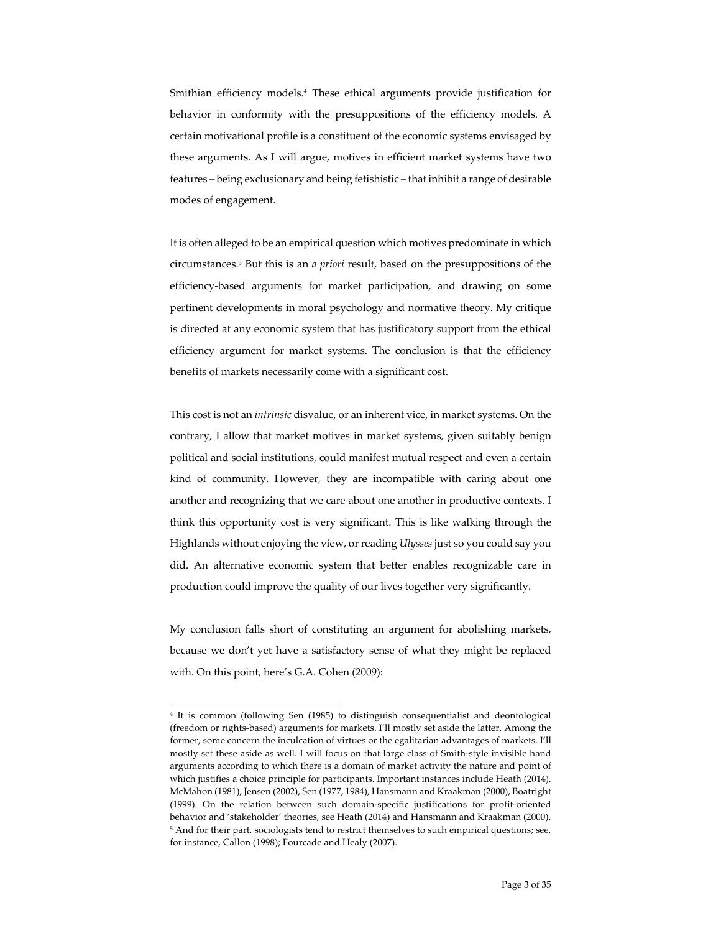Smithian efficiency models.4 These ethical arguments provide justification for behavior in conformity with the presuppositions of the efficiency models. A certain motivational profile is a constituent of the economic systems envisaged by these arguments. As I will argue, motives in efficient market systems have two features – being exclusionary and being fetishistic – that inhibit a range of desirable modes of engagement.

It is often alleged to be an empirical question which motives predominate in which circumstances.5 But this is an *a priori* result, based on the presuppositions of the efficiency-based arguments for market participation, and drawing on some pertinent developments in moral psychology and normative theory. My critique is directed at any economic system that has justificatory support from the ethical efficiency argument for market systems. The conclusion is that the efficiency benefits of markets necessarily come with a significant cost.

This cost is not an *intrinsic* disvalue, or an inherent vice, in market systems. On the contrary, I allow that market motives in market systems, given suitably benign political and social institutions, could manifest mutual respect and even a certain kind of community. However, they are incompatible with caring about one another and recognizing that we care about one another in productive contexts. I think this opportunity cost is very significant. This is like walking through the Highlands without enjoying the view, or reading *Ulysses* just so you could say you did. An alternative economic system that better enables recognizable care in production could improve the quality of our lives together very significantly.

My conclusion falls short of constituting an argument for abolishing markets, because we don't yet have a satisfactory sense of what they might be replaced with. On this point, here's G.A. Cohen (2009):

<sup>4</sup> It is common (following Sen (1985) to distinguish consequentialist and deontological (freedom or rights-based) arguments for markets. I'll mostly set aside the latter. Among the former, some concern the inculcation of virtues or the egalitarian advantages of markets. I'll mostly set these aside as well. I will focus on that large class of Smith-style invisible hand arguments according to which there is a domain of market activity the nature and point of which justifies a choice principle for participants. Important instances include Heath (2014), McMahon (1981), Jensen (2002), Sen (1977, 1984), Hansmann and Kraakman (2000), Boatright (1999). On the relation between such domain-specific justifications for profit-oriented behavior and 'stakeholder' theories, see Heath (2014) and Hansmann and Kraakman (2000). <sup>5</sup> And for their part, sociologists tend to restrict themselves to such empirical questions; see, for instance, Callon (1998); Fourcade and Healy (2007).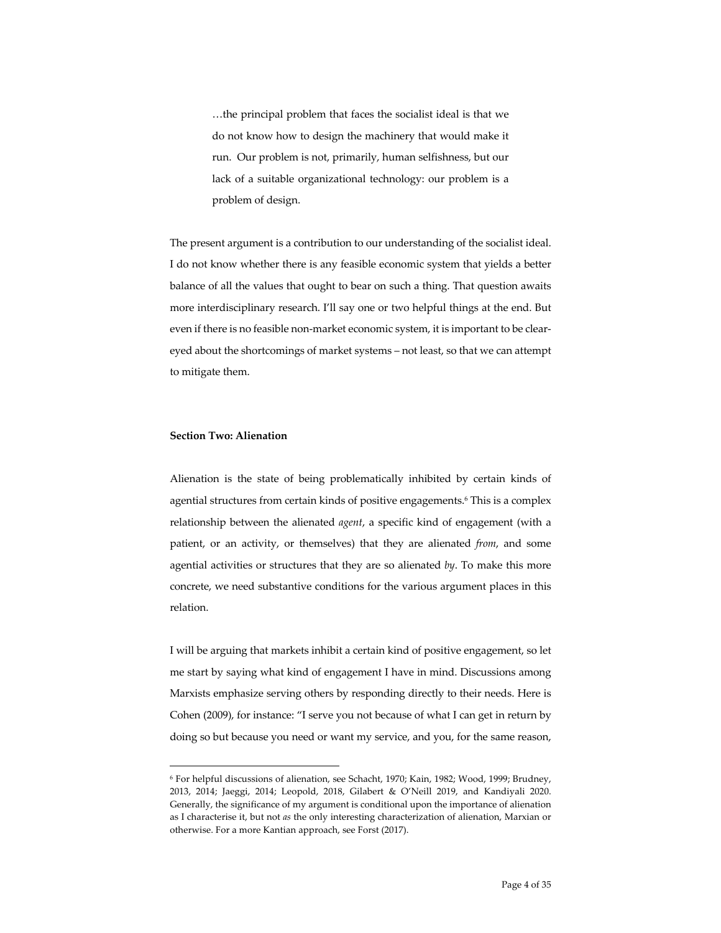…the principal problem that faces the socialist ideal is that we do not know how to design the machinery that would make it run. Our problem is not, primarily, human selfishness, but our lack of a suitable organizational technology: our problem is a problem of design.

The present argument is a contribution to our understanding of the socialist ideal. I do not know whether there is any feasible economic system that yields a better balance of all the values that ought to bear on such a thing. That question awaits more interdisciplinary research. I'll say one or two helpful things at the end. But even if there is no feasible non-market economic system, it is important to be cleareyed about the shortcomings of market systems – not least, so that we can attempt to mitigate them.

### **Section Two: Alienation**

Alienation is the state of being problematically inhibited by certain kinds of agential structures from certain kinds of positive engagements. <sup>6</sup> This is a complex relationship between the alienated *agent*, a specific kind of engagement (with a patient, or an activity, or themselves) that they are alienated *from*, and some agential activities or structures that they are so alienated *by*. To make this more concrete, we need substantive conditions for the various argument places in this relation.

I will be arguing that markets inhibit a certain kind of positive engagement, so let me start by saying what kind of engagement I have in mind. Discussions among Marxists emphasize serving others by responding directly to their needs. Here is Cohen (2009), for instance: "I serve you not because of what I can get in return by doing so but because you need or want my service, and you, for the same reason,

<sup>6</sup> For helpful discussions of alienation, see Schacht, 1970; Kain, 1982; Wood, 1999; Brudney, 2013, 2014; Jaeggi, 2014; Leopold, 2018, Gilabert & O'Neill 2019, and Kandiyali 2020. Generally, the significance of my argument is conditional upon the importance of alienation as I characterise it, but not *as* the only interesting characterization of alienation, Marxian or otherwise. For a more Kantian approach, see Forst (2017).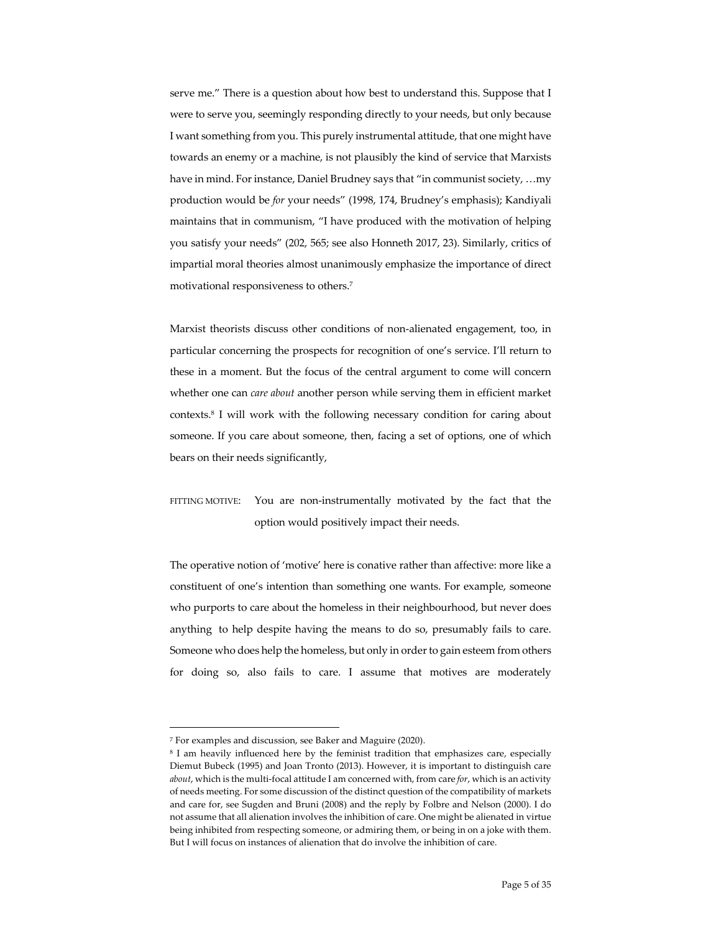serve me." There is a question about how best to understand this. Suppose that I were to serve you, seemingly responding directly to your needs, but only because I want something from you. This purely instrumental attitude, that one might have towards an enemy or a machine, is not plausibly the kind of service that Marxists have in mind. For instance, Daniel Brudney says that "in communist society, …my production would be *for* your needs" (1998, 174, Brudney's emphasis); Kandiyali maintains that in communism, "I have produced with the motivation of helping you satisfy your needs" (202, 565; see also Honneth 2017, 23). Similarly, critics of impartial moral theories almost unanimously emphasize the importance of direct motivational responsiveness to others.7

Marxist theorists discuss other conditions of non-alienated engagement, too, in particular concerning the prospects for recognition of one's service. I'll return to these in a moment. But the focus of the central argument to come will concern whether one can *care about* another person while serving them in efficient market contexts. <sup>8</sup> I will work with the following necessary condition for caring about someone. If you care about someone, then, facing a set of options, one of which bears on their needs significantly,

# FITTING MOTIVE: You are non-instrumentally motivated by the fact that the option would positively impact their needs.

The operative notion of 'motive' here is conative rather than affective: more like a constituent of one's intention than something one wants. For example, someone who purports to care about the homeless in their neighbourhood, but never does anything to help despite having the means to do so, presumably fails to care. Someone who does help the homeless, but only in order to gain esteem from others for doing so, also fails to care. I assume that motives are moderately

<sup>7</sup> For examples and discussion, see Baker and Maguire (2020).

<sup>8</sup> I am heavily influenced here by the feminist tradition that emphasizes care, especially Diemut Bubeck (1995) and Joan Tronto (2013). However, it is important to distinguish care *about*, which is the multi-focal attitude I am concerned with, from care *for*, which is an activity of needs meeting. For some discussion of the distinct question of the compatibility of markets and care for, see Sugden and Bruni (2008) and the reply by Folbre and Nelson (2000). I do not assume that all alienation involves the inhibition of care. One might be alienated in virtue being inhibited from respecting someone, or admiring them, or being in on a joke with them. But I will focus on instances of alienation that do involve the inhibition of care.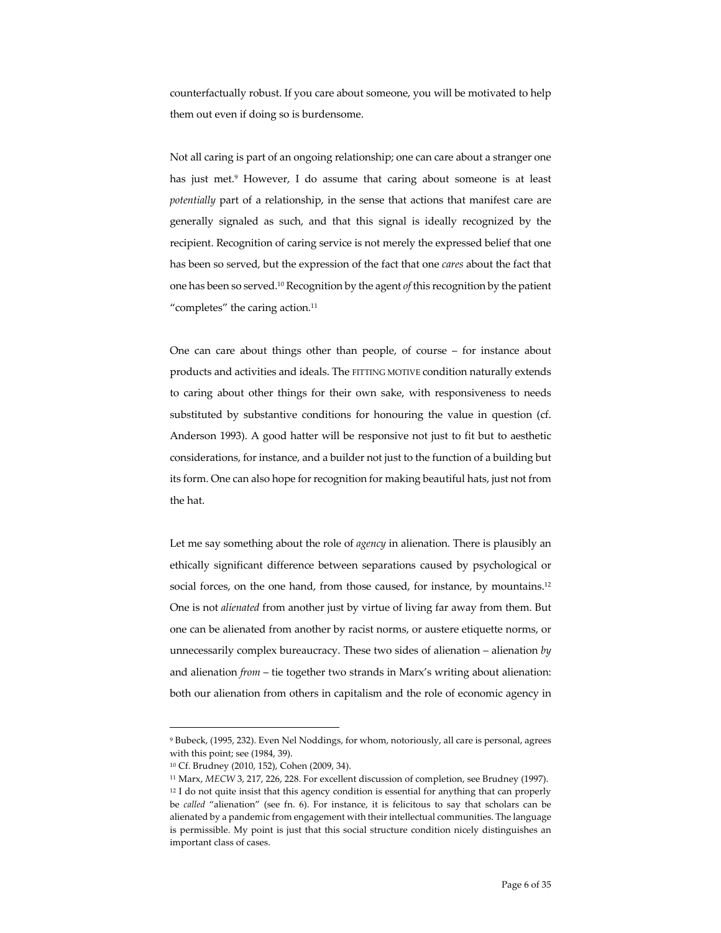counterfactually robust. If you care about someone, you will be motivated to help them out even if doing so is burdensome.

Not all caring is part of an ongoing relationship; one can care about a stranger one has just met. <sup>9</sup> However, I do assume that caring about someone is at least *potentially* part of a relationship, in the sense that actions that manifest care are generally signaled as such, and that this signal is ideally recognized by the recipient. Recognition of caring service is not merely the expressed belief that one has been so served, but the expression of the fact that one *cares* about the fact that one has been so served.10 Recognition by the agent *of* this recognition by the patient "completes" the caring action.<sup>11</sup>

One can care about things other than people, of course – for instance about products and activities and ideals. The FITTING MOTIVE condition naturally extends to caring about other things for their own sake, with responsiveness to needs substituted by substantive conditions for honouring the value in question (cf. Anderson 1993). A good hatter will be responsive not just to fit but to aesthetic considerations, for instance, and a builder not just to the function of a building but its form. One can also hope for recognition for making beautiful hats, just not from the hat.

Let me say something about the role of *agency* in alienation. There is plausibly an ethically significant difference between separations caused by psychological or social forces, on the one hand, from those caused, for instance, by mountains.<sup>12</sup> One is not *alienated* from another just by virtue of living far away from them. But one can be alienated from another by racist norms, or austere etiquette norms, or unnecessarily complex bureaucracy. These two sides of alienation – alienation *by* and alienation *from* – tie together two strands in Marx's writing about alienation: both our alienation from others in capitalism and the role of economic agency in

<sup>9</sup> Bubeck, (1995, 232). Even Nel Noddings, for whom, notoriously, all care is personal, agrees with this point; see (1984, 39).

<sup>10</sup> Cf. Brudney (2010, 152), Cohen (2009, 34).

<sup>11</sup> Marx, *MECW* 3, 217, 226, 228. For excellent discussion of completion, see Brudney (1997).  $12$  I do not quite insist that this agency condition is essential for anything that can properly be *called* "alienation" (see fn. 6). For instance, it is felicitous to say that scholars can be alienated by a pandemic from engagement with their intellectual communities. The language is permissible. My point is just that this social structure condition nicely distinguishes an important class of cases.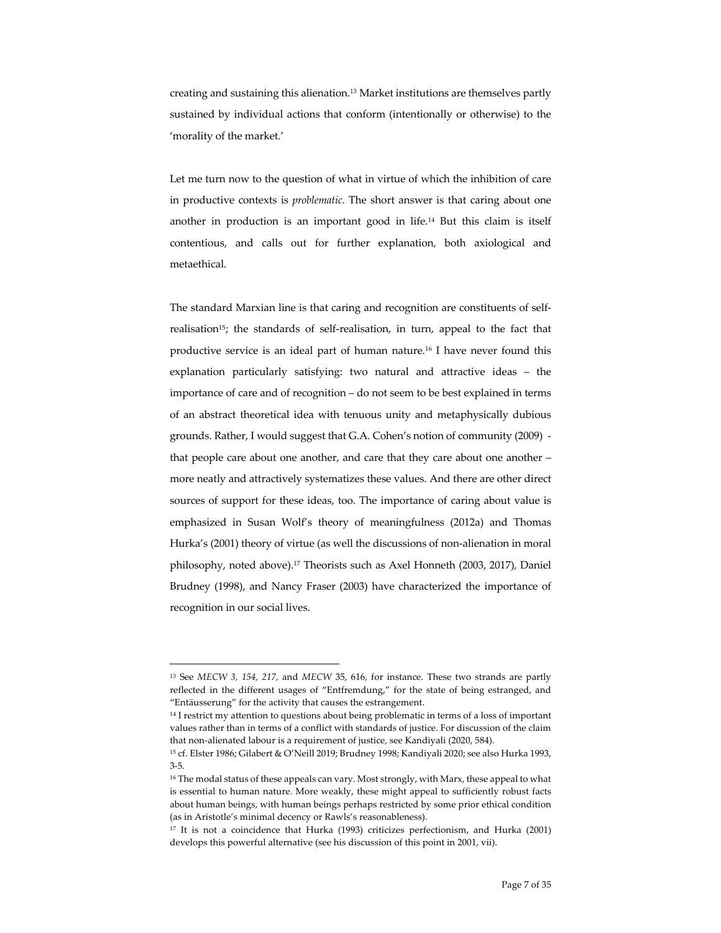creating and sustaining this alienation.13 Market institutions are themselves partly sustained by individual actions that conform (intentionally or otherwise) to the 'morality of the market.'

Let me turn now to the question of what in virtue of which the inhibition of care in productive contexts is *problematic*. The short answer is that caring about one another in production is an important good in life. <sup>14</sup> But this claim is itself contentious, and calls out for further explanation, both axiological and metaethical.

The standard Marxian line is that caring and recognition are constituents of selfrealisation<sup>15</sup>; the standards of self-realisation, in turn, appeal to the fact that productive service is an ideal part of human nature. <sup>16</sup> I have never found this explanation particularly satisfying: two natural and attractive ideas – the importance of care and of recognition – do not seem to be best explained in terms of an abstract theoretical idea with tenuous unity and metaphysically dubious grounds. Rather, I would suggest that G.A. Cohen's notion of community (2009) that people care about one another, and care that they care about one another – more neatly and attractively systematizes these values. And there are other direct sources of support for these ideas, too. The importance of caring about value is emphasized in Susan Wolf's theory of meaningfulness (2012a) and Thomas Hurka's (2001) theory of virtue (as well the discussions of non-alienation in moral philosophy, noted above). <sup>17</sup> Theorists such as Axel Honneth (2003, 2017), Daniel Brudney (1998), and Nancy Fraser (2003) have characterized the importance of recognition in our social lives.

<sup>13</sup> See *MECW 3, 154, 217,* and *MECW* 35, 616, for instance. These two strands are partly reflected in the different usages of "Entfremdung," for the state of being estranged, and "Entäusserung" for the activity that causes the estrangement.

<sup>&</sup>lt;sup>14</sup> I restrict my attention to questions about being problematic in terms of a loss of important values rather than in terms of a conflict with standards of justice. For discussion of the claim that non-alienated labour is a requirement of justice, see Kandiyali (2020, 584).

<sup>15</sup> cf. Elster 1986; Gilabert & O'Neill 2019; Brudney 1998; Kandiyali 2020; see also Hurka 1993, 3-5.

<sup>&</sup>lt;sup>16</sup> The modal status of these appeals can vary. Most strongly, with Marx, these appeal to what is essential to human nature. More weakly, these might appeal to sufficiently robust facts about human beings, with human beings perhaps restricted by some prior ethical condition (as in Aristotle's minimal decency or Rawls's reasonableness).

<sup>&</sup>lt;sup>17</sup> It is not a coincidence that Hurka (1993) criticizes perfectionism, and Hurka (2001) develops this powerful alternative (see his discussion of this point in 2001, vii).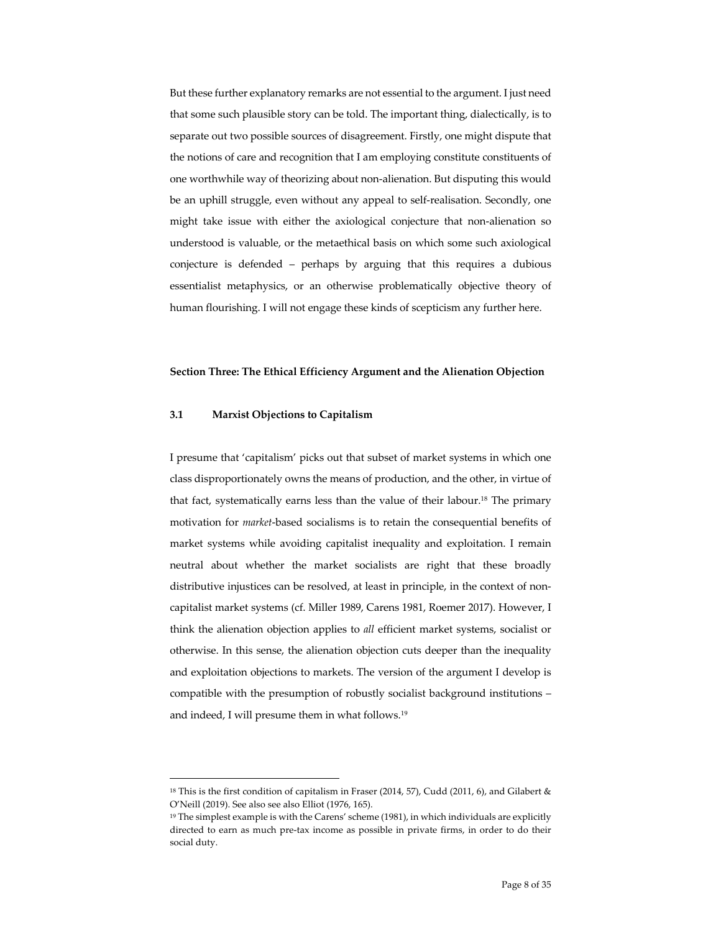But these further explanatory remarks are not essential to the argument. I just need that some such plausible story can be told. The important thing, dialectically, is to separate out two possible sources of disagreement. Firstly, one might dispute that the notions of care and recognition that I am employing constitute constituents of one worthwhile way of theorizing about non-alienation. But disputing this would be an uphill struggle, even without any appeal to self-realisation. Secondly, one might take issue with either the axiological conjecture that non-alienation so understood is valuable, or the metaethical basis on which some such axiological conjecture is defended – perhaps by arguing that this requires a dubious essentialist metaphysics, or an otherwise problematically objective theory of human flourishing. I will not engage these kinds of scepticism any further here.

#### **Section Three: The Ethical Efficiency Argument and the Alienation Objection**

## **3.1 Marxist Objections to Capitalism**

I presume that 'capitalism' picks out that subset of market systems in which one class disproportionately owns the means of production, and the other, in virtue of that fact, systematically earns less than the value of their labour. <sup>18</sup> The primary motivation for *market*-based socialisms is to retain the consequential benefits of market systems while avoiding capitalist inequality and exploitation. I remain neutral about whether the market socialists are right that these broadly distributive injustices can be resolved, at least in principle, in the context of noncapitalist market systems (cf. Miller 1989, Carens 1981, Roemer 2017). However, I think the alienation objection applies to *all* efficient market systems, socialist or otherwise. In this sense, the alienation objection cuts deeper than the inequality and exploitation objections to markets. The version of the argument I develop is compatible with the presumption of robustly socialist background institutions – and indeed, I will presume them in what follows. 19

<sup>&</sup>lt;sup>18</sup> This is the first condition of capitalism in Fraser (2014, 57), Cudd (2011, 6), and Gilabert & O'Neill (2019). See also see also Elliot (1976, 165).

<sup>&</sup>lt;sup>19</sup> The simplest example is with the Carens' scheme (1981), in which individuals are explicitly directed to earn as much pre-tax income as possible in private firms, in order to do their social duty.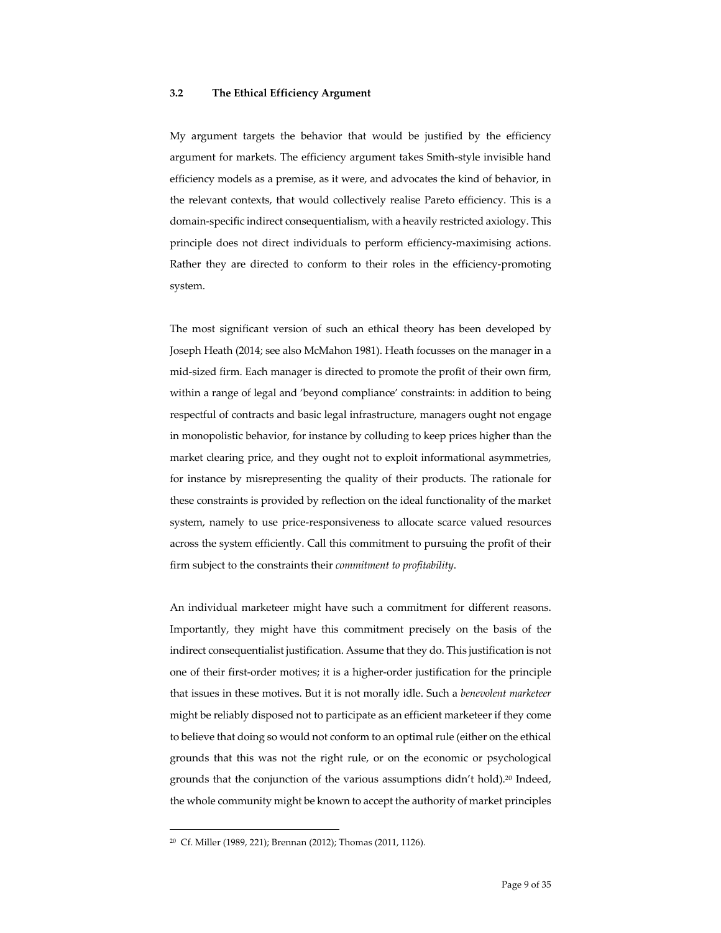# **3.2 The Ethical Efficiency Argument**

My argument targets the behavior that would be justified by the efficiency argument for markets. The efficiency argument takes Smith-style invisible hand efficiency models as a premise, as it were, and advocates the kind of behavior, in the relevant contexts, that would collectively realise Pareto efficiency. This is a domain-specific indirect consequentialism, with a heavily restricted axiology. This principle does not direct individuals to perform efficiency-maximising actions. Rather they are directed to conform to their roles in the efficiency-promoting system.

The most significant version of such an ethical theory has been developed by Joseph Heath (2014; see also McMahon 1981). Heath focusses on the manager in a mid-sized firm. Each manager is directed to promote the profit of their own firm, within a range of legal and 'beyond compliance' constraints: in addition to being respectful of contracts and basic legal infrastructure, managers ought not engage in monopolistic behavior, for instance by colluding to keep prices higher than the market clearing price, and they ought not to exploit informational asymmetries, for instance by misrepresenting the quality of their products. The rationale for these constraints is provided by reflection on the ideal functionality of the market system, namely to use price-responsiveness to allocate scarce valued resources across the system efficiently. Call this commitment to pursuing the profit of their firm subject to the constraints their *commitment to profitability*.

An individual marketeer might have such a commitment for different reasons. Importantly, they might have this commitment precisely on the basis of the indirect consequentialist justification. Assume that they do. This justification is not one of their first-order motives; it is a higher-order justification for the principle that issues in these motives. But it is not morally idle. Such a *benevolent marketeer* might be reliably disposed not to participate as an efficient marketeer if they come to believe that doing so would not conform to an optimal rule (either on the ethical grounds that this was not the right rule, or on the economic or psychological grounds that the conjunction of the various assumptions didn't hold).<sup>20</sup> Indeed, the whole community might be known to accept the authority of market principles

<sup>20</sup> Cf. Miller (1989, 221); Brennan (2012); Thomas (2011, 1126).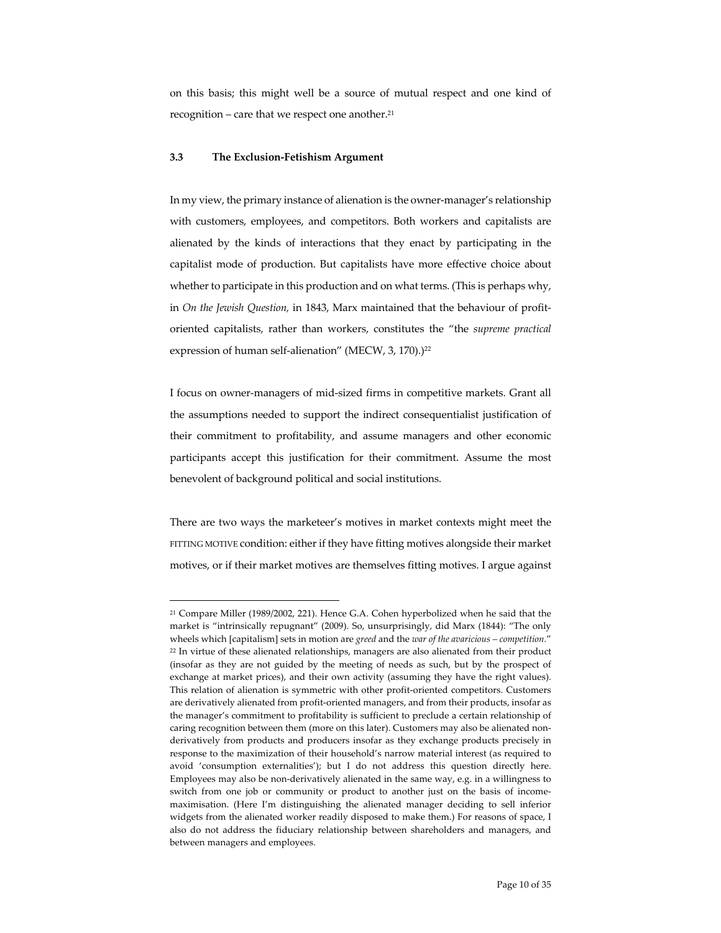on this basis; this might well be a source of mutual respect and one kind of recognition – care that we respect one another. 21

#### **3.3 The Exclusion-Fetishism Argument**

In my view, the primary instance of alienation is the owner-manager's relationship with customers, employees, and competitors. Both workers and capitalists are alienated by the kinds of interactions that they enact by participating in the capitalist mode of production. But capitalists have more effective choice about whether to participate in this production and on what terms. (This is perhaps why, in *On the Jewish Question,* in 1843, Marx maintained that the behaviour of profitoriented capitalists, rather than workers, constitutes the "the *supreme practical*  expression of human self-alienation" (MECW, 3, 170).)<sup>22</sup>

I focus on owner-managers of mid-sized firms in competitive markets. Grant all the assumptions needed to support the indirect consequentialist justification of their commitment to profitability, and assume managers and other economic participants accept this justification for their commitment. Assume the most benevolent of background political and social institutions.

There are two ways the marketeer's motives in market contexts might meet the FITTING MOTIVE condition: either if they have fitting motives alongside their market motives, or if their market motives are themselves fitting motives. I argue against

<sup>21</sup> Compare Miller (1989/2002, 221). Hence G.A. Cohen hyperbolized when he said that the market is "intrinsically repugnant" (2009). So, unsurprisingly, did Marx (1844): "The only wheels which [capitalism] sets in motion are *greed* and the *war of the avaricious – competition.*" <sup>22</sup> In virtue of these alienated relationships, managers are also alienated from their product (insofar as they are not guided by the meeting of needs as such, but by the prospect of exchange at market prices), and their own activity (assuming they have the right values). This relation of alienation is symmetric with other profit-oriented competitors. Customers are derivatively alienated from profit-oriented managers, and from their products, insofar as the manager's commitment to profitability is sufficient to preclude a certain relationship of caring recognition between them (more on this later). Customers may also be alienated nonderivatively from products and producers insofar as they exchange products precisely in response to the maximization of their household's narrow material interest (as required to avoid 'consumption externalities'); but I do not address this question directly here. Employees may also be non-derivatively alienated in the same way, e.g. in a willingness to switch from one job or community or product to another just on the basis of incomemaximisation. (Here I'm distinguishing the alienated manager deciding to sell inferior widgets from the alienated worker readily disposed to make them.) For reasons of space, I also do not address the fiduciary relationship between shareholders and managers, and between managers and employees.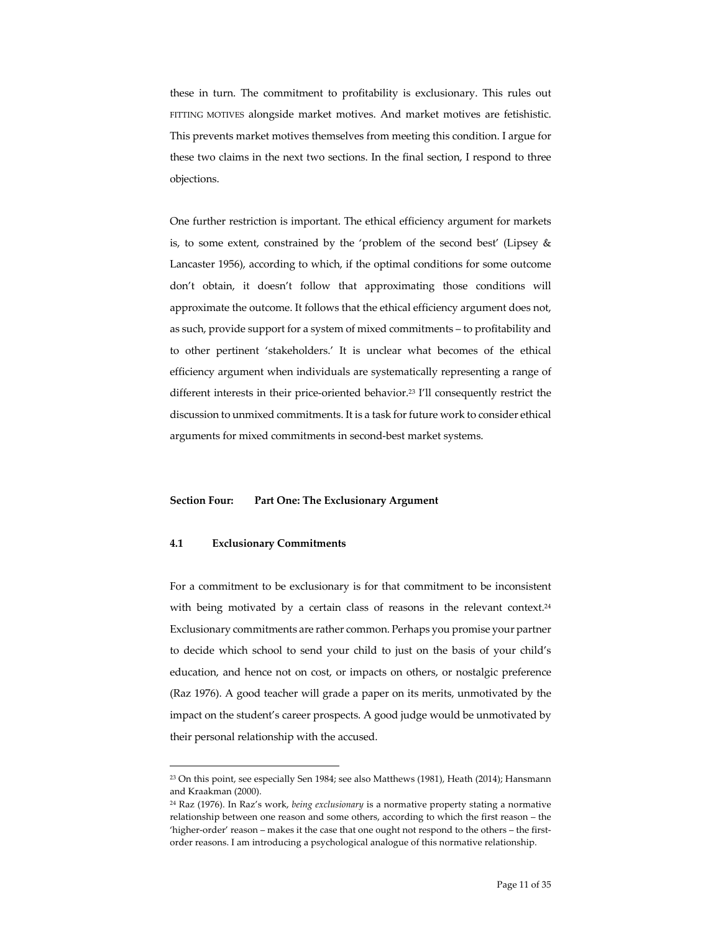these in turn. The commitment to profitability is exclusionary. This rules out FITTING MOTIVES alongside market motives. And market motives are fetishistic. This prevents market motives themselves from meeting this condition. I argue for these two claims in the next two sections. In the final section, I respond to three objections.

One further restriction is important. The ethical efficiency argument for markets is, to some extent, constrained by the 'problem of the second best' (Lipsey & Lancaster 1956), according to which, if the optimal conditions for some outcome don't obtain, it doesn't follow that approximating those conditions will approximate the outcome. It follows that the ethical efficiency argument does not, as such, provide support for a system of mixed commitments – to profitability and to other pertinent 'stakeholders.' It is unclear what becomes of the ethical efficiency argument when individuals are systematically representing a range of different interests in their price-oriented behavior.23 I'll consequently restrict the discussion to unmixed commitments. It is a task for future work to consider ethical arguments for mixed commitments in second-best market systems.

## **Section Four: Part One: The Exclusionary Argument**

## **4.1 Exclusionary Commitments**

For a commitment to be exclusionary is for that commitment to be inconsistent with being motivated by a certain class of reasons in the relevant context.<sup>24</sup> Exclusionary commitments are rather common. Perhaps you promise your partner to decide which school to send your child to just on the basis of your child's education, and hence not on cost, or impacts on others, or nostalgic preference (Raz 1976). A good teacher will grade a paper on its merits, unmotivated by the impact on the student's career prospects. A good judge would be unmotivated by their personal relationship with the accused.

<sup>23</sup> On this point, see especially Sen 1984; see also Matthews (1981), Heath (2014); Hansmann and Kraakman (2000).

<sup>24</sup> Raz (1976). In Raz's work, *being exclusionary* is a normative property stating a normative relationship between one reason and some others, according to which the first reason – the 'higher-order' reason – makes it the case that one ought not respond to the others – the firstorder reasons. I am introducing a psychological analogue of this normative relationship.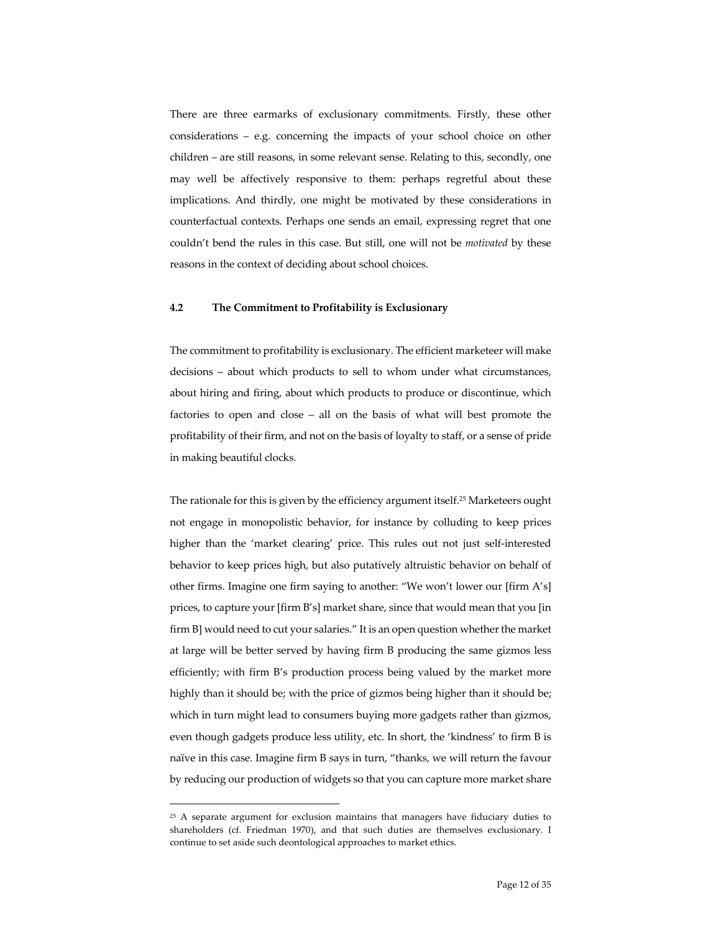There are three earmarks of exclusionary commitments. Firstly, these other considerations – e.g. concerning the impacts of your school choice on other children – are still reasons, in some relevant sense. Relating to this, secondly, one may well be affectively responsive to them: perhaps regretful about these implications. And thirdly, one might be motivated by these considerations in counterfactual contexts. Perhaps one sends an email, expressing regret that one couldn't bend the rules in this case. But still, one will not be *motivated* by these reasons in the context of deciding about school choices.

#### **4.2 The Commitment to Profitability is Exclusionary**

The commitment to profitability is exclusionary. The efficient marketeer will make decisions – about which products to sell to whom under what circumstances, about hiring and firing, about which products to produce or discontinue, which factories to open and close – all on the basis of what will best promote the profitability of their firm, and not on the basis of loyalty to staff, or a sense of pride in making beautiful clocks.

The rationale for this is given by the efficiency argument itself.25 Marketeers ought not engage in monopolistic behavior, for instance by colluding to keep prices higher than the 'market clearing' price. This rules out not just self-interested behavior to keep prices high, but also putatively altruistic behavior on behalf of other firms. Imagine one firm saying to another: "We won't lower our [firm A's] prices, to capture your [firm B's] market share, since that would mean that you [in firm B] would need to cut your salaries." It is an open question whether the market at large will be better served by having firm B producing the same gizmos less efficiently; with firm B's production process being valued by the market more highly than it should be; with the price of gizmos being higher than it should be; which in turn might lead to consumers buying more gadgets rather than gizmos, even though gadgets produce less utility, etc. In short, the 'kindness' to firm B is naïve in this case. Imagine firm B says in turn, "thanks, we will return the favour by reducing our production of widgets so that you can capture more market share

<sup>&</sup>lt;sup>25</sup> A separate argument for exclusion maintains that managers have fiduciary duties to shareholders (cf. Friedman 1970), and that such duties are themselves exclusionary. I continue to set aside such deontological approaches to market ethics.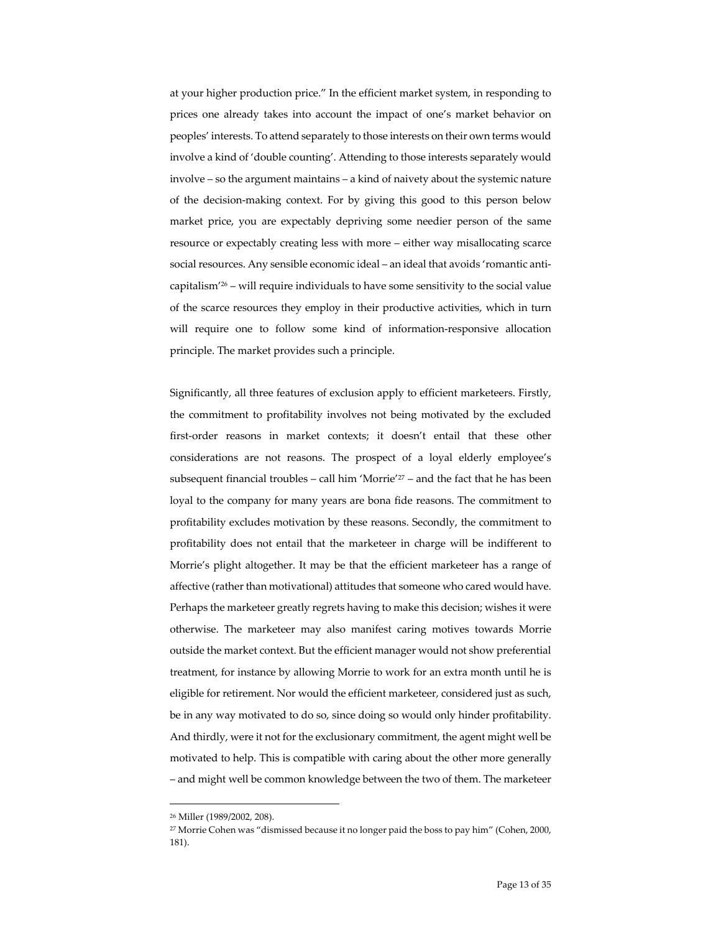at your higher production price." In the efficient market system, in responding to prices one already takes into account the impact of one's market behavior on peoples' interests. To attend separately to those interests on their own terms would involve a kind of 'double counting'. Attending to those interests separately would involve – so the argument maintains – a kind of naivety about the systemic nature of the decision-making context. For by giving this good to this person below market price, you are expectably depriving some needier person of the same resource or expectably creating less with more – either way misallocating scarce social resources. Any sensible economic ideal – an ideal that avoids 'romantic anticapitalism'26 – will require individuals to have some sensitivity to the social value of the scarce resources they employ in their productive activities, which in turn will require one to follow some kind of information-responsive allocation principle. The market provides such a principle.

Significantly, all three features of exclusion apply to efficient marketeers. Firstly, the commitment to profitability involves not being motivated by the excluded first-order reasons in market contexts; it doesn't entail that these other considerations are not reasons. The prospect of a loyal elderly employee's subsequent financial troubles – call him 'Morrie'<sup>27</sup> – and the fact that he has been loyal to the company for many years are bona fide reasons. The commitment to profitability excludes motivation by these reasons. Secondly, the commitment to profitability does not entail that the marketeer in charge will be indifferent to Morrie's plight altogether. It may be that the efficient marketeer has a range of affective (rather than motivational) attitudes that someone who cared would have. Perhaps the marketeer greatly regrets having to make this decision; wishes it were otherwise. The marketeer may also manifest caring motives towards Morrie outside the market context. But the efficient manager would not show preferential treatment, for instance by allowing Morrie to work for an extra month until he is eligible for retirement. Nor would the efficient marketeer, considered just as such, be in any way motivated to do so, since doing so would only hinder profitability. And thirdly, were it not for the exclusionary commitment, the agent might well be motivated to help. This is compatible with caring about the other more generally – and might well be common knowledge between the two of them. The marketeer

<sup>26</sup> Miller (1989/2002, 208).

<sup>27</sup> Morrie Cohen was "dismissed because it no longer paid the boss to pay him" (Cohen, 2000, 181).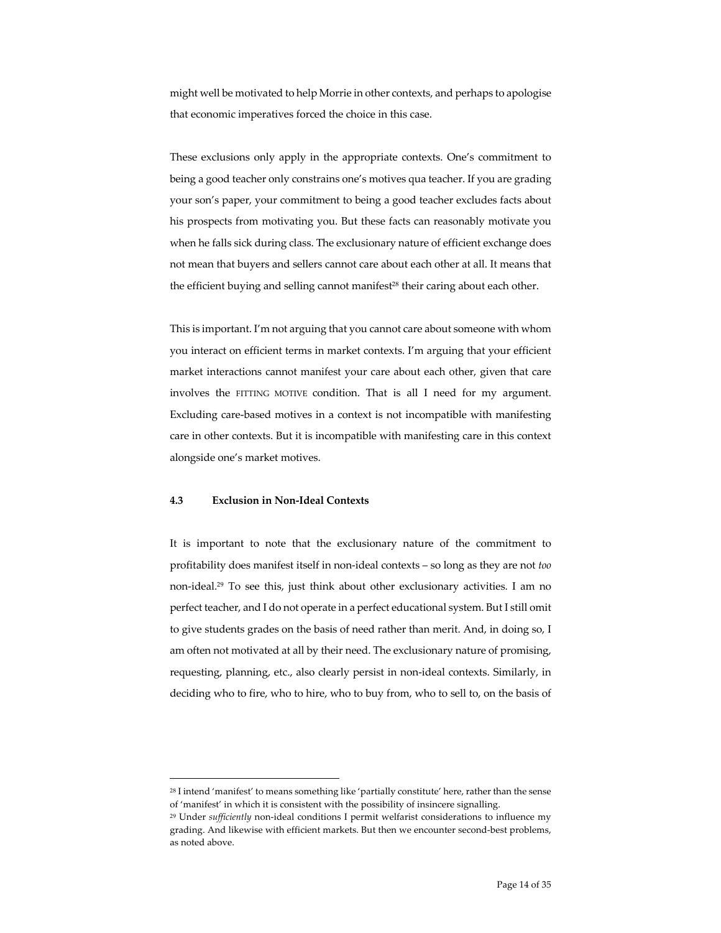might well be motivated to help Morrie in other contexts, and perhaps to apologise that economic imperatives forced the choice in this case.

These exclusions only apply in the appropriate contexts. One's commitment to being a good teacher only constrains one's motives qua teacher. If you are grading your son's paper, your commitment to being a good teacher excludes facts about his prospects from motivating you. But these facts can reasonably motivate you when he falls sick during class. The exclusionary nature of efficient exchange does not mean that buyers and sellers cannot care about each other at all. It means that the efficient buying and selling cannot manifest<sup>28</sup> their caring about each other.

This is important. I'm not arguing that you cannot care about someone with whom you interact on efficient terms in market contexts. I'm arguing that your efficient market interactions cannot manifest your care about each other, given that care involves the FITTING MOTIVE condition. That is all I need for my argument. Excluding care-based motives in a context is not incompatible with manifesting care in other contexts. But it is incompatible with manifesting care in this context alongside one's market motives.

# **4.3 Exclusion in Non-Ideal Contexts**

It is important to note that the exclusionary nature of the commitment to profitability does manifest itself in non-ideal contexts – so long as they are not *too*  non-ideal. <sup>29</sup> To see this, just think about other exclusionary activities. I am no perfect teacher, and I do not operate in a perfect educational system. But I still omit to give students grades on the basis of need rather than merit. And, in doing so, I am often not motivated at all by their need. The exclusionary nature of promising, requesting, planning, etc., also clearly persist in non-ideal contexts. Similarly, in deciding who to fire, who to hire, who to buy from, who to sell to, on the basis of

<sup>28</sup> I intend 'manifest' to means something like 'partially constitute' here, rather than the sense of 'manifest' in which it is consistent with the possibility of insincere signalling.

<sup>29</sup> Under *sufficiently* non-ideal conditions I permit welfarist considerations to influence my grading. And likewise with efficient markets. But then we encounter second-best problems, as noted above.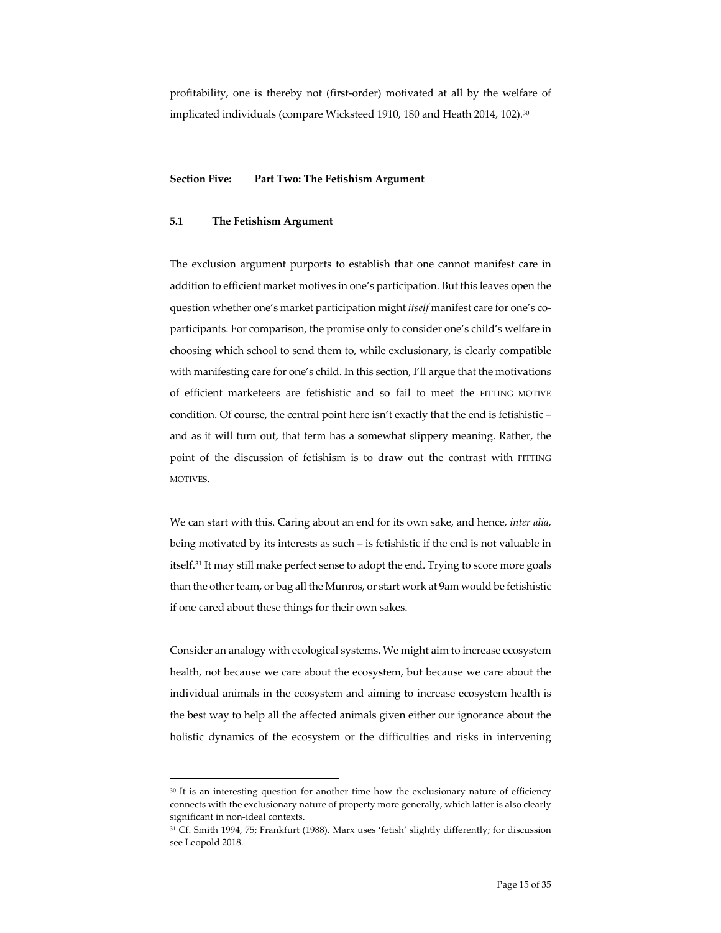profitability, one is thereby not (first-order) motivated at all by the welfare of implicated individuals (compare Wicksteed 1910, 180 and Heath 2014, 102).30

# **Section Five: Part Two: The Fetishism Argument**

## **5.1 The Fetishism Argument**

The exclusion argument purports to establish that one cannot manifest care in addition to efficient market motives in one's participation. But this leaves open the question whether one's market participation might *itself* manifest care for one's coparticipants. For comparison, the promise only to consider one's child's welfare in choosing which school to send them to, while exclusionary, is clearly compatible with manifesting care for one's child. In this section, I'll argue that the motivations of efficient marketeers are fetishistic and so fail to meet the FITTING MOTIVE condition. Of course, the central point here isn't exactly that the end is fetishistic – and as it will turn out, that term has a somewhat slippery meaning. Rather, the point of the discussion of fetishism is to draw out the contrast with FITTING MOTIVES.

We can start with this. Caring about an end for its own sake, and hence, *inter alia*, being motivated by its interests as such – is fetishistic if the end is not valuable in itself. <sup>31</sup> It may still make perfect sense to adopt the end. Trying to score more goals than the other team, or bag all the Munros, or start work at 9am would be fetishistic if one cared about these things for their own sakes.

Consider an analogy with ecological systems. We might aim to increase ecosystem health, not because we care about the ecosystem, but because we care about the individual animals in the ecosystem and aiming to increase ecosystem health is the best way to help all the affected animals given either our ignorance about the holistic dynamics of the ecosystem or the difficulties and risks in intervening

<sup>30</sup> It is an interesting question for another time how the exclusionary nature of efficiency connects with the exclusionary nature of property more generally, which latter is also clearly significant in non-ideal contexts.

<sup>31</sup> Cf. Smith 1994, 75; Frankfurt (1988). Marx uses 'fetish' slightly differently; for discussion see Leopold 2018.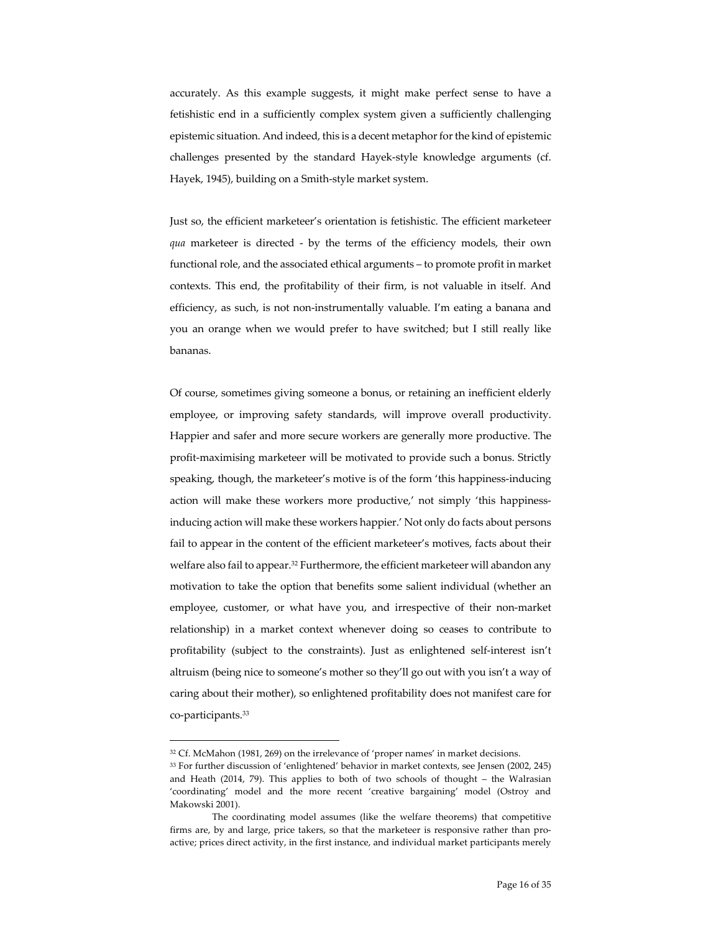accurately. As this example suggests, it might make perfect sense to have a fetishistic end in a sufficiently complex system given a sufficiently challenging epistemic situation. And indeed, this is a decent metaphor for the kind of epistemic challenges presented by the standard Hayek-style knowledge arguments (cf. Hayek, 1945), building on a Smith-style market system.

Just so, the efficient marketeer's orientation is fetishistic. The efficient marketeer *qua* marketeer is directed - by the terms of the efficiency models, their own functional role, and the associated ethical arguments – to promote profit in market contexts. This end, the profitability of their firm, is not valuable in itself. And efficiency, as such, is not non-instrumentally valuable. I'm eating a banana and you an orange when we would prefer to have switched; but I still really like bananas.

Of course, sometimes giving someone a bonus, or retaining an inefficient elderly employee, or improving safety standards, will improve overall productivity. Happier and safer and more secure workers are generally more productive. The profit-maximising marketeer will be motivated to provide such a bonus. Strictly speaking, though, the marketeer's motive is of the form 'this happiness-inducing action will make these workers more productive,' not simply 'this happinessinducing action will make these workers happier.' Not only do facts about persons fail to appear in the content of the efficient marketeer's motives, facts about their welfare also fail to appear.32 Furthermore, the efficient marketeer will abandon any motivation to take the option that benefits some salient individual (whether an employee, customer, or what have you, and irrespective of their non-market relationship) in a market context whenever doing so ceases to contribute to profitability (subject to the constraints). Just as enlightened self-interest isn't altruism (being nice to someone's mother so they'll go out with you isn't a way of caring about their mother), so enlightened profitability does not manifest care for co-participants.33

<sup>&</sup>lt;sup>32</sup> Cf. McMahon (1981, 269) on the irrelevance of 'proper names' in market decisions.

<sup>33</sup> For further discussion of 'enlightened' behavior in market contexts, see Jensen (2002, 245) and Heath (2014, 79). This applies to both of two schools of thought – the Walrasian 'coordinating' model and the more recent 'creative bargaining' model (Ostroy and Makowski 2001).

The coordinating model assumes (like the welfare theorems) that competitive firms are, by and large, price takers, so that the marketeer is responsive rather than proactive; prices direct activity, in the first instance, and individual market participants merely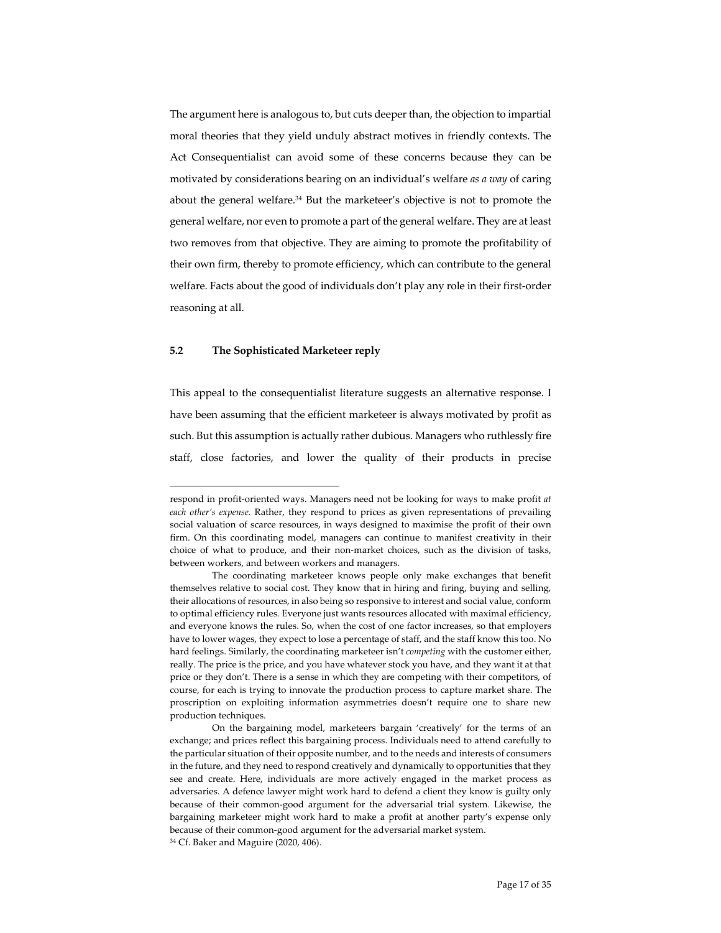The argument here is analogous to, but cuts deeper than, the objection to impartial moral theories that they yield unduly abstract motives in friendly contexts. The Act Consequentialist can avoid some of these concerns because they can be motivated by considerations bearing on an individual's welfare *as a way* of caring about the general welfare.<sup>34</sup> But the marketeer's objective is not to promote the general welfare, nor even to promote a part of the general welfare. They are at least two removes from that objective. They are aiming to promote the profitability of their own firm, thereby to promote efficiency, which can contribute to the general welfare. Facts about the good of individuals don't play any role in their first-order reasoning at all.

#### **5.2 The Sophisticated Marketeer reply**

This appeal to the consequentialist literature suggests an alternative response. I have been assuming that the efficient marketeer is always motivated by profit as such. But this assumption is actually rather dubious. Managers who ruthlessly fire staff, close factories, and lower the quality of their products in precise

respond in profit-oriented ways. Managers need not be looking for ways to make profit *at each other's expense.* Rather, they respond to prices as given representations of prevailing social valuation of scarce resources, in ways designed to maximise the profit of their own firm. On this coordinating model, managers can continue to manifest creativity in their choice of what to produce, and their non-market choices, such as the division of tasks, between workers, and between workers and managers.

The coordinating marketeer knows people only make exchanges that benefit themselves relative to social cost. They know that in hiring and firing, buying and selling, their allocations of resources, in also being so responsive to interest and social value, conform to optimal efficiency rules. Everyone just wants resources allocated with maximal efficiency, and everyone knows the rules. So, when the cost of one factor increases, so that employers have to lower wages, they expect to lose a percentage of staff, and the staff know this too. No hard feelings. Similarly, the coordinating marketeer isn't *competing* with the customer either, really. The price is the price, and you have whatever stock you have, and they want it at that price or they don't. There is a sense in which they are competing with their competitors, of course, for each is trying to innovate the production process to capture market share. The proscription on exploiting information asymmetries doesn't require one to share new production techniques.

On the bargaining model, marketeers bargain 'creatively' for the terms of an exchange; and prices reflect this bargaining process. Individuals need to attend carefully to the particular situation of their opposite number, and to the needs and interests of consumers in the future, and they need to respond creatively and dynamically to opportunities that they see and create. Here, individuals are more actively engaged in the market process as adversaries. A defence lawyer might work hard to defend a client they know is guilty only because of their common-good argument for the adversarial trial system. Likewise, the bargaining marketeer might work hard to make a profit at another party's expense only because of their common-good argument for the adversarial market system. <sup>34</sup> Cf. Baker and Maguire (2020, 406).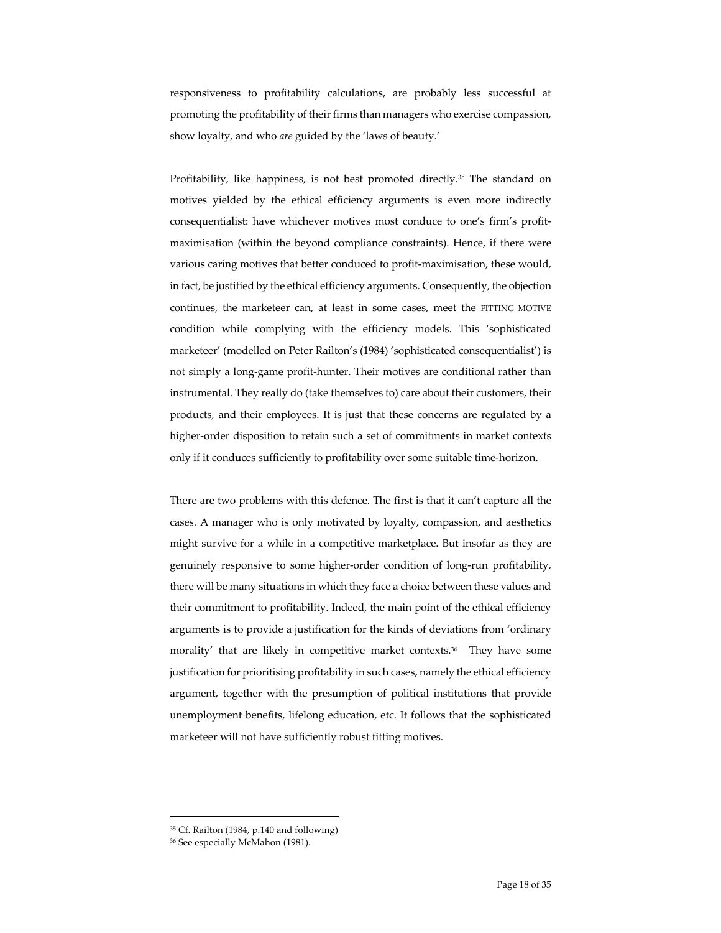responsiveness to profitability calculations, are probably less successful at promoting the profitability of their firms than managers who exercise compassion, show loyalty, and who *are* guided by the 'laws of beauty.'

Profitability, like happiness, is not best promoted directly.<sup>35</sup> The standard on motives yielded by the ethical efficiency arguments is even more indirectly consequentialist: have whichever motives most conduce to one's firm's profitmaximisation (within the beyond compliance constraints). Hence, if there were various caring motives that better conduced to profit-maximisation, these would, in fact, be justified by the ethical efficiency arguments. Consequently, the objection continues, the marketeer can, at least in some cases, meet the FITTING MOTIVE condition while complying with the efficiency models. This 'sophisticated marketeer' (modelled on Peter Railton's (1984) 'sophisticated consequentialist') is not simply a long-game profit-hunter. Their motives are conditional rather than instrumental. They really do (take themselves to) care about their customers, their products, and their employees. It is just that these concerns are regulated by a higher-order disposition to retain such a set of commitments in market contexts only if it conduces sufficiently to profitability over some suitable time-horizon.

There are two problems with this defence. The first is that it can't capture all the cases. A manager who is only motivated by loyalty, compassion, and aesthetics might survive for a while in a competitive marketplace. But insofar as they are genuinely responsive to some higher-order condition of long-run profitability, there will be many situations in which they face a choice between these values and their commitment to profitability. Indeed, the main point of the ethical efficiency arguments is to provide a justification for the kinds of deviations from 'ordinary morality' that are likely in competitive market contexts.36 They have some justification for prioritising profitability in such cases, namely the ethical efficiency argument, together with the presumption of political institutions that provide unemployment benefits, lifelong education, etc. It follows that the sophisticated marketeer will not have sufficiently robust fitting motives.

<sup>35</sup> Cf. Railton (1984, p.140 and following)

<sup>36</sup> See especially McMahon (1981).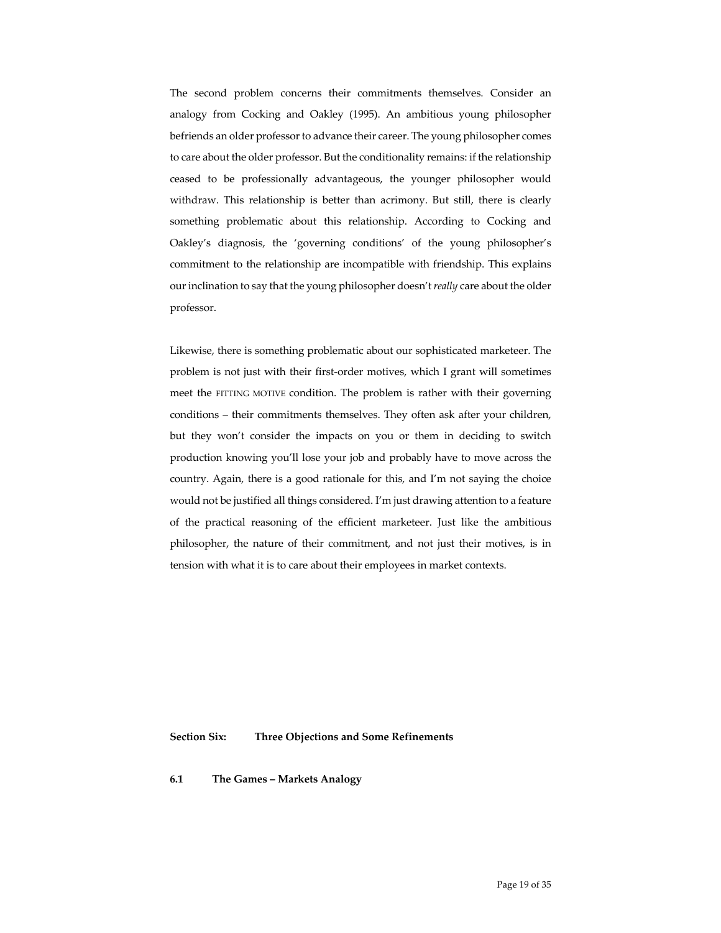The second problem concerns their commitments themselves. Consider an analogy from Cocking and Oakley (1995). An ambitious young philosopher befriends an older professor to advance their career. The young philosopher comes to care about the older professor. But the conditionality remains: if the relationship ceased to be professionally advantageous, the younger philosopher would withdraw. This relationship is better than acrimony. But still, there is clearly something problematic about this relationship. According to Cocking and Oakley's diagnosis, the 'governing conditions' of the young philosopher's commitment to the relationship are incompatible with friendship. This explains our inclination to say that the young philosopher doesn't *really* care about the older professor.

Likewise, there is something problematic about our sophisticated marketeer. The problem is not just with their first-order motives, which I grant will sometimes meet the FITTING MOTIVE condition. The problem is rather with their governing conditions – their commitments themselves. They often ask after your children, but they won't consider the impacts on you or them in deciding to switch production knowing you'll lose your job and probably have to move across the country. Again, there is a good rationale for this, and I'm not saying the choice would not be justified all things considered. I'm just drawing attention to a feature of the practical reasoning of the efficient marketeer. Just like the ambitious philosopher, the nature of their commitment, and not just their motives, is in tension with what it is to care about their employees in market contexts.

**Section Six: Three Objections and Some Refinements**

**6.1 The Games – Markets Analogy**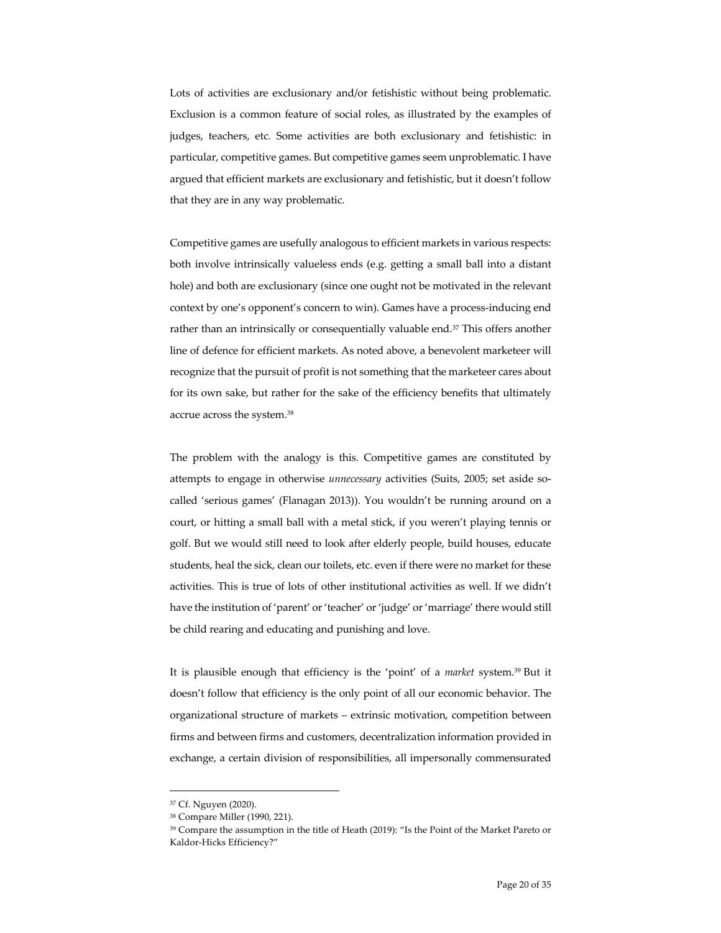Lots of activities are exclusionary and/or fetishistic without being problematic. Exclusion is a common feature of social roles, as illustrated by the examples of judges, teachers, etc. Some activities are both exclusionary and fetishistic: in particular, competitive games. But competitive games seem unproblematic. I have argued that efficient markets are exclusionary and fetishistic, but it doesn't follow that they are in any way problematic.

Competitive games are usefully analogous to efficient markets in various respects: both involve intrinsically valueless ends (e.g. getting a small ball into a distant hole) and both are exclusionary (since one ought not be motivated in the relevant context by one's opponent's concern to win). Games have a process-inducing end rather than an intrinsically or consequentially valuable end.<sup>37</sup> This offers another line of defence for efficient markets. As noted above, a benevolent marketeer will recognize that the pursuit of profit is not something that the marketeer cares about for its own sake, but rather for the sake of the efficiency benefits that ultimately accrue across the system.38

The problem with the analogy is this. Competitive games are constituted by attempts to engage in otherwise *unnecessary* activities (Suits, 2005; set aside socalled 'serious games' (Flanagan 2013)). You wouldn't be running around on a court, or hitting a small ball with a metal stick, if you weren't playing tennis or golf. But we would still need to look after elderly people, build houses, educate students, heal the sick, clean our toilets, etc. even if there were no market for these activities. This is true of lots of other institutional activities as well. If we didn't have the institution of 'parent' or 'teacher' or 'judge' or 'marriage' there would still be child rearing and educating and punishing and love.

It is plausible enough that efficiency is the 'point' of a *market* system.39 But it doesn't follow that efficiency is the only point of all our economic behavior. The organizational structure of markets – extrinsic motivation, competition between firms and between firms and customers, decentralization information provided in exchange, a certain division of responsibilities, all impersonally commensurated

<sup>37</sup> Cf. Nguyen (2020).

<sup>38</sup> Compare Miller (1990, 221).

<sup>39</sup> Compare the assumption in the title of Heath (2019): "Is the Point of the Market Pareto or Kaldor-Hicks Efficiency?"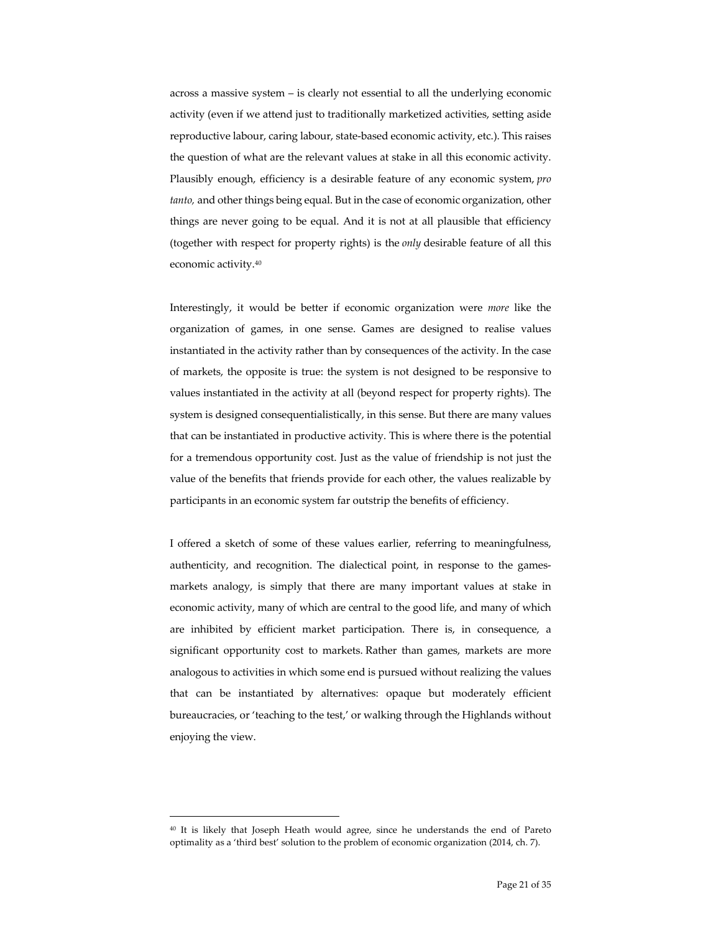across a massive system – is clearly not essential to all the underlying economic activity (even if we attend just to traditionally marketized activities, setting aside reproductive labour, caring labour, state-based economic activity, etc.). This raises the question of what are the relevant values at stake in all this economic activity. Plausibly enough, efficiency is a desirable feature of any economic system, *pro tanto,* and other things being equal. But in the case of economic organization, other things are never going to be equal. And it is not at all plausible that efficiency (together with respect for property rights) is the *only* desirable feature of all this economic activity.40

Interestingly, it would be better if economic organization were *more* like the organization of games, in one sense. Games are designed to realise values instantiated in the activity rather than by consequences of the activity. In the case of markets, the opposite is true: the system is not designed to be responsive to values instantiated in the activity at all (beyond respect for property rights). The system is designed consequentialistically, in this sense. But there are many values that can be instantiated in productive activity. This is where there is the potential for a tremendous opportunity cost. Just as the value of friendship is not just the value of the benefits that friends provide for each other, the values realizable by participants in an economic system far outstrip the benefits of efficiency.

I offered a sketch of some of these values earlier, referring to meaningfulness, authenticity, and recognition. The dialectical point, in response to the gamesmarkets analogy, is simply that there are many important values at stake in economic activity, many of which are central to the good life, and many of which are inhibited by efficient market participation. There is, in consequence, a significant opportunity cost to markets. Rather than games, markets are more analogous to activities in which some end is pursued without realizing the values that can be instantiated by alternatives: opaque but moderately efficient bureaucracies, or 'teaching to the test,' or walking through the Highlands without enjoying the view.

<sup>40</sup> It is likely that Joseph Heath would agree, since he understands the end of Pareto optimality as a 'third best' solution to the problem of economic organization (2014, ch. 7).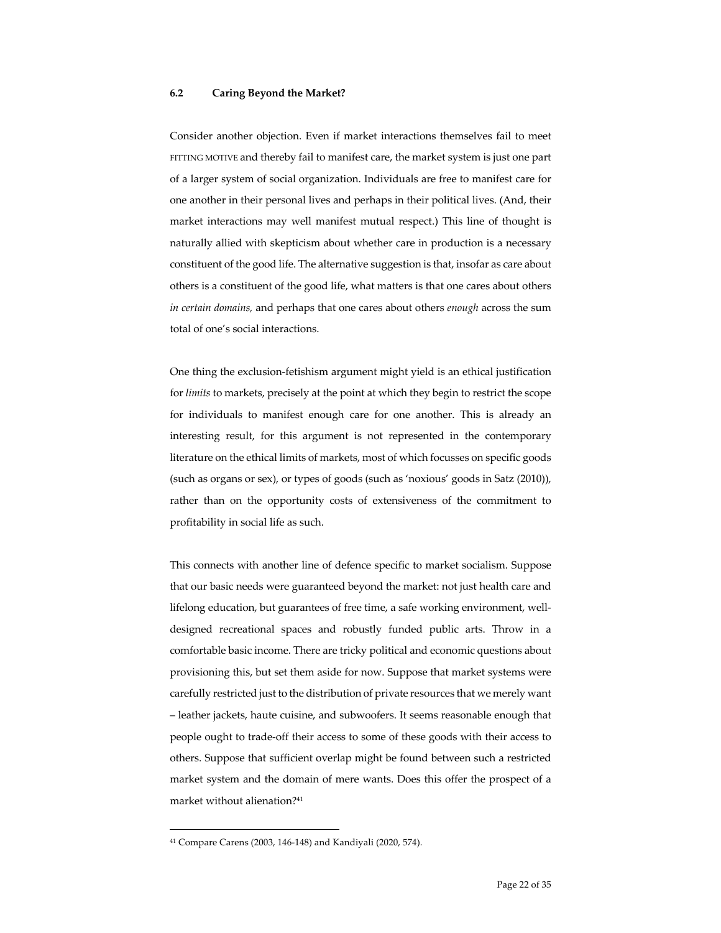#### **6.2 Caring Beyond the Market?**

Consider another objection. Even if market interactions themselves fail to meet FITTING MOTIVE and thereby fail to manifest care, the market system is just one part of a larger system of social organization. Individuals are free to manifest care for one another in their personal lives and perhaps in their political lives. (And, their market interactions may well manifest mutual respect.) This line of thought is naturally allied with skepticism about whether care in production is a necessary constituent of the good life. The alternative suggestion is that, insofar as care about others is a constituent of the good life, what matters is that one cares about others *in certain domains,* and perhaps that one cares about others *enough* across the sum total of one's social interactions.

One thing the exclusion-fetishism argument might yield is an ethical justification for *limits* to markets, precisely at the point at which they begin to restrict the scope for individuals to manifest enough care for one another. This is already an interesting result, for this argument is not represented in the contemporary literature on the ethical limits of markets, most of which focusses on specific goods (such as organs or sex), or types of goods (such as 'noxious' goods in Satz (2010)), rather than on the opportunity costs of extensiveness of the commitment to profitability in social life as such.

This connects with another line of defence specific to market socialism. Suppose that our basic needs were guaranteed beyond the market: not just health care and lifelong education, but guarantees of free time, a safe working environment, welldesigned recreational spaces and robustly funded public arts. Throw in a comfortable basic income. There are tricky political and economic questions about provisioning this, but set them aside for now. Suppose that market systems were carefully restricted just to the distribution of private resources that we merely want – leather jackets, haute cuisine, and subwoofers. It seems reasonable enough that people ought to trade-off their access to some of these goods with their access to others. Suppose that sufficient overlap might be found between such a restricted market system and the domain of mere wants. Does this offer the prospect of a market without alienation?41

<sup>41</sup> Compare Carens (2003, 146-148) and Kandiyali (2020, 574).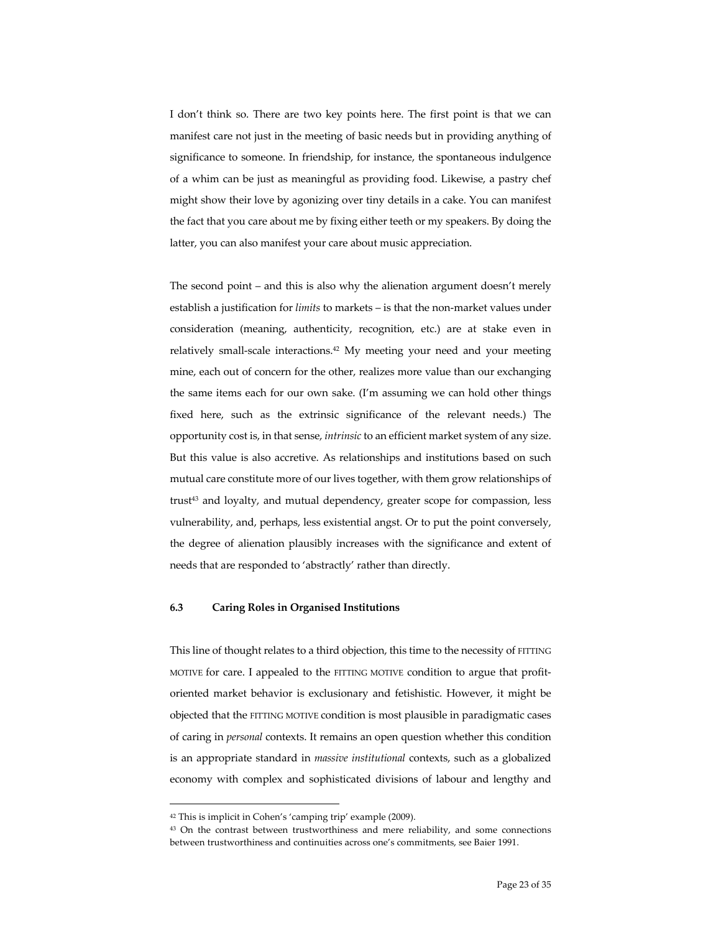I don't think so. There are two key points here. The first point is that we can manifest care not just in the meeting of basic needs but in providing anything of significance to someone. In friendship, for instance, the spontaneous indulgence of a whim can be just as meaningful as providing food. Likewise, a pastry chef might show their love by agonizing over tiny details in a cake. You can manifest the fact that you care about me by fixing either teeth or my speakers. By doing the latter, you can also manifest your care about music appreciation.

The second point – and this is also why the alienation argument doesn't merely establish a justification for *limits* to markets – is that the non-market values under consideration (meaning, authenticity, recognition, etc.) are at stake even in relatively small-scale interactions.42 My meeting your need and your meeting mine, each out of concern for the other, realizes more value than our exchanging the same items each for our own sake. (I'm assuming we can hold other things fixed here, such as the extrinsic significance of the relevant needs.) The opportunity cost is, in that sense, *intrinsic* to an efficient market system of any size. But this value is also accretive. As relationships and institutions based on such mutual care constitute more of our lives together, with them grow relationships of trust<sup>43</sup> and loyalty, and mutual dependency, greater scope for compassion, less vulnerability, and, perhaps, less existential angst. Or to put the point conversely, the degree of alienation plausibly increases with the significance and extent of needs that are responded to 'abstractly' rather than directly.

## **6.3 Caring Roles in Organised Institutions**

This line of thought relates to a third objection, this time to the necessity of FITTING MOTIVE for care. I appealed to the FITTING MOTIVE condition to argue that profitoriented market behavior is exclusionary and fetishistic. However, it might be objected that the FITTING MOTIVE condition is most plausible in paradigmatic cases of caring in *personal* contexts. It remains an open question whether this condition is an appropriate standard in *massive institutional* contexts, such as a globalized economy with complex and sophisticated divisions of labour and lengthy and

<sup>42</sup> This is implicit in Cohen's 'camping trip' example (2009).

<sup>&</sup>lt;sup>43</sup> On the contrast between trustworthiness and mere reliability, and some connections between trustworthiness and continuities across one's commitments, see Baier 1991.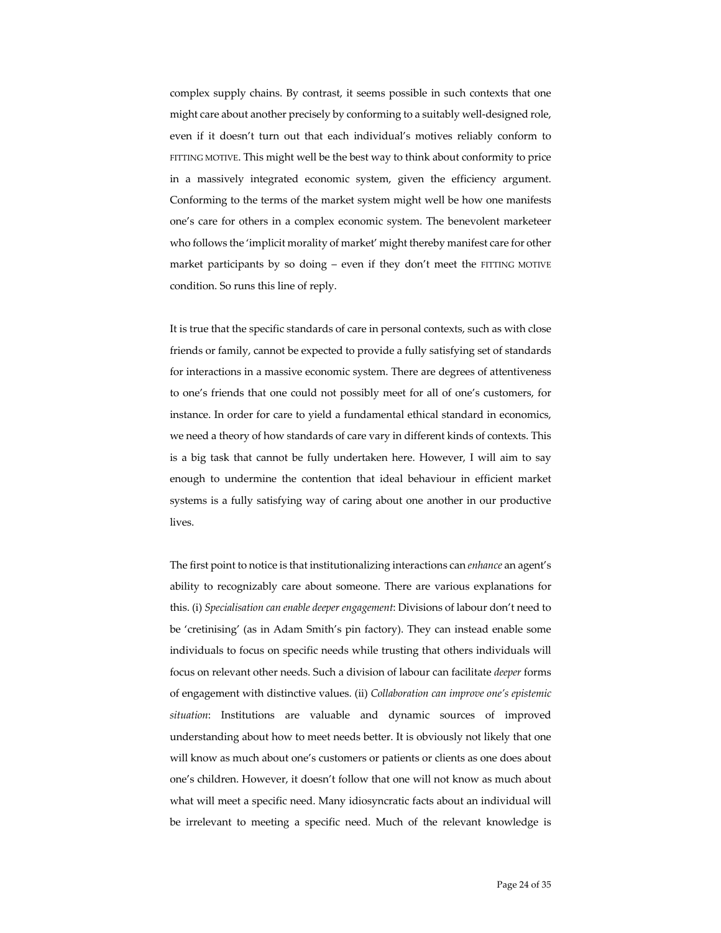complex supply chains. By contrast, it seems possible in such contexts that one might care about another precisely by conforming to a suitably well-designed role, even if it doesn't turn out that each individual's motives reliably conform to FITTING MOTIVE. This might well be the best way to think about conformity to price in a massively integrated economic system, given the efficiency argument. Conforming to the terms of the market system might well be how one manifests one's care for others in a complex economic system. The benevolent marketeer who follows the 'implicit morality of market' might thereby manifest care for other market participants by so doing  $-$  even if they don't meet the FITTING MOTIVE condition. So runs this line of reply.

It is true that the specific standards of care in personal contexts, such as with close friends or family, cannot be expected to provide a fully satisfying set of standards for interactions in a massive economic system. There are degrees of attentiveness to one's friends that one could not possibly meet for all of one's customers, for instance. In order for care to yield a fundamental ethical standard in economics, we need a theory of how standards of care vary in different kinds of contexts. This is a big task that cannot be fully undertaken here. However, I will aim to say enough to undermine the contention that ideal behaviour in efficient market systems is a fully satisfying way of caring about one another in our productive lives.

The first point to notice is that institutionalizing interactions can *enhance* an agent's ability to recognizably care about someone. There are various explanations for this. (i) *Specialisation can enable deeper engagement*: Divisions of labour don't need to be 'cretinising' (as in Adam Smith's pin factory). They can instead enable some individuals to focus on specific needs while trusting that others individuals will focus on relevant other needs. Such a division of labour can facilitate *deeper* forms of engagement with distinctive values. (ii) *Collaboration can improve one's epistemic situation*: Institutions are valuable and dynamic sources of improved understanding about how to meet needs better. It is obviously not likely that one will know as much about one's customers or patients or clients as one does about one's children. However, it doesn't follow that one will not know as much about what will meet a specific need. Many idiosyncratic facts about an individual will be irrelevant to meeting a specific need. Much of the relevant knowledge is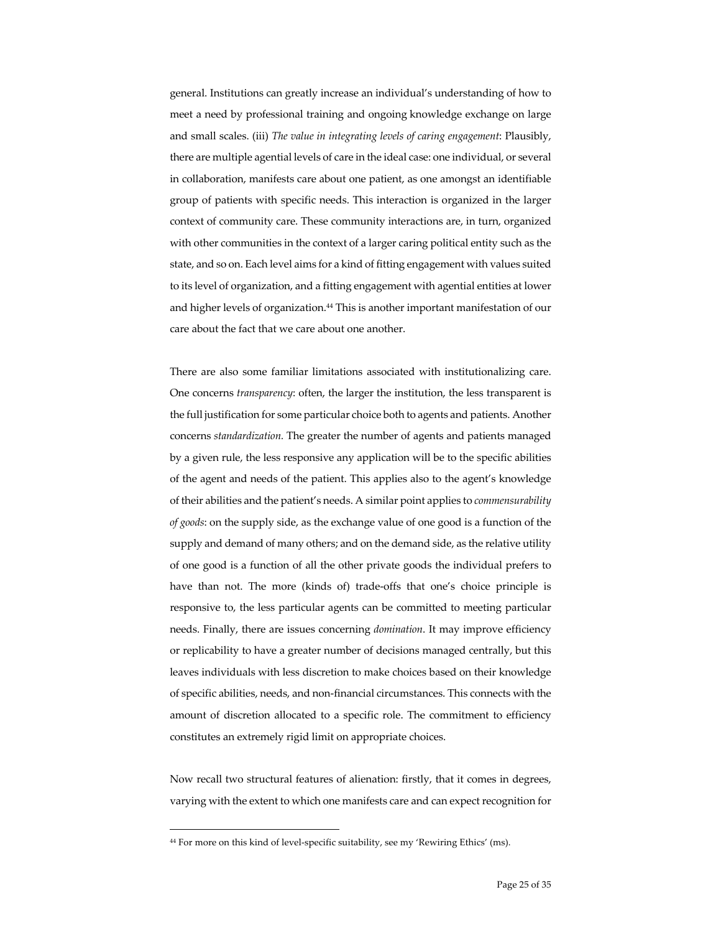general. Institutions can greatly increase an individual's understanding of how to meet a need by professional training and ongoing knowledge exchange on large and small scales. (iii) *The value in integrating levels of caring engagement*: Plausibly, there are multiple agential levels of care in the ideal case: one individual, or several in collaboration, manifests care about one patient, as one amongst an identifiable group of patients with specific needs. This interaction is organized in the larger context of community care. These community interactions are, in turn, organized with other communities in the context of a larger caring political entity such as the state, and so on. Each level aims for a kind of fitting engagement with values suited to its level of organization, and a fitting engagement with agential entities at lower and higher levels of organization.44 This is another important manifestation of our care about the fact that we care about one another.

There are also some familiar limitations associated with institutionalizing care. One concerns *transparency*: often, the larger the institution, the less transparent is the full justification for some particular choice both to agents and patients. Another concerns *standardization.* The greater the number of agents and patients managed by a given rule, the less responsive any application will be to the specific abilities of the agent and needs of the patient. This applies also to the agent's knowledge of their abilities and the patient's needs. A similar point applies to *commensurability of goods*: on the supply side, as the exchange value of one good is a function of the supply and demand of many others; and on the demand side, as the relative utility of one good is a function of all the other private goods the individual prefers to have than not. The more (kinds of) trade-offs that one's choice principle is responsive to, the less particular agents can be committed to meeting particular needs. Finally, there are issues concerning *domination*. It may improve efficiency or replicability to have a greater number of decisions managed centrally, but this leaves individuals with less discretion to make choices based on their knowledge of specific abilities, needs, and non-financial circumstances. This connects with the amount of discretion allocated to a specific role. The commitment to efficiency constitutes an extremely rigid limit on appropriate choices.

Now recall two structural features of alienation: firstly, that it comes in degrees, varying with the extent to which one manifests care and can expect recognition for

<sup>44</sup> For more on this kind of level-specific suitability, see my 'Rewiring Ethics' (ms).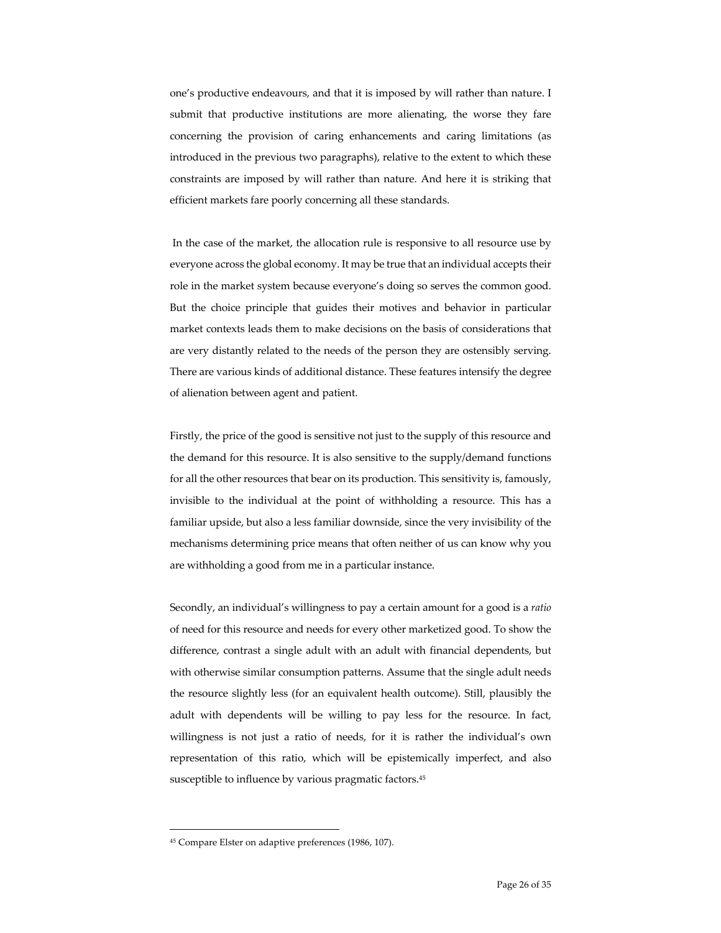one's productive endeavours, and that it is imposed by will rather than nature. I submit that productive institutions are more alienating, the worse they fare concerning the provision of caring enhancements and caring limitations (as introduced in the previous two paragraphs), relative to the extent to which these constraints are imposed by will rather than nature. And here it is striking that efficient markets fare poorly concerning all these standards.

In the case of the market, the allocation rule is responsive to all resource use by everyone across the global economy. It may be true that an individual accepts their role in the market system because everyone's doing so serves the common good. But the choice principle that guides their motives and behavior in particular market contexts leads them to make decisions on the basis of considerations that are very distantly related to the needs of the person they are ostensibly serving. There are various kinds of additional distance. These features intensify the degree of alienation between agent and patient.

Firstly, the price of the good is sensitive not just to the supply of this resource and the demand for this resource. It is also sensitive to the supply/demand functions for all the other resources that bear on its production. This sensitivity is, famously, invisible to the individual at the point of withholding a resource. This has a familiar upside, but also a less familiar downside, since the very invisibility of the mechanisms determining price means that often neither of us can know why you are withholding a good from me in a particular instance.

Secondly, an individual's willingness to pay a certain amount for a good is a *ratio* of need for this resource and needs for every other marketized good. To show the difference, contrast a single adult with an adult with financial dependents, but with otherwise similar consumption patterns. Assume that the single adult needs the resource slightly less (for an equivalent health outcome). Still, plausibly the adult with dependents will be willing to pay less for the resource. In fact, willingness is not just a ratio of needs, for it is rather the individual's own representation of this ratio, which will be epistemically imperfect, and also susceptible to influence by various pragmatic factors.<sup>45</sup>

<sup>45</sup> Compare Elster on adaptive preferences (1986, 107).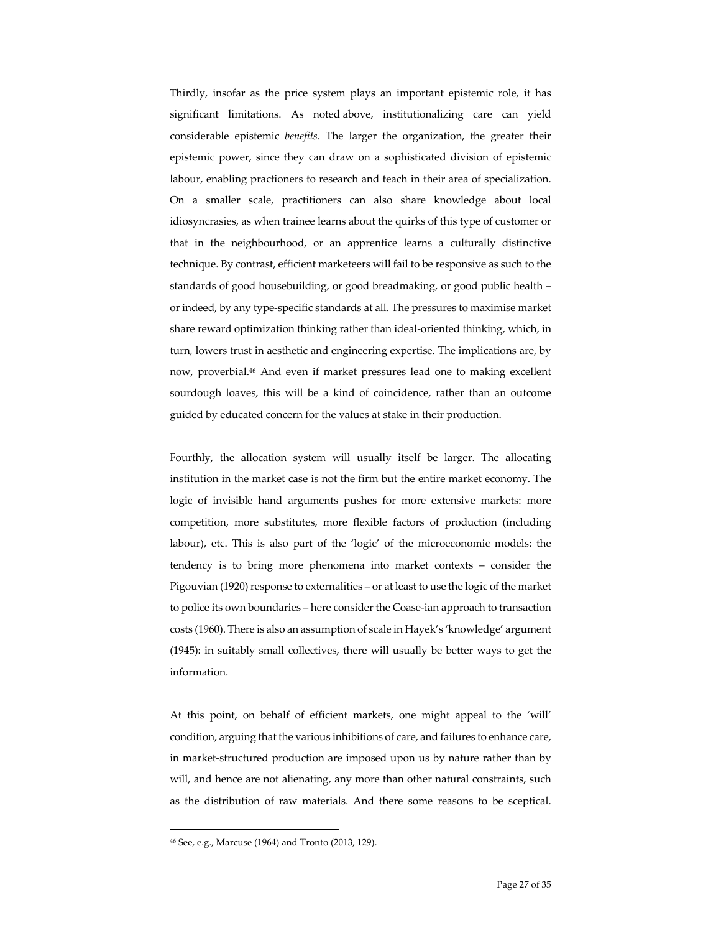Thirdly, insofar as the price system plays an important epistemic role, it has significant limitations. As noted above, institutionalizing care can yield considerable epistemic *benefits*. The larger the organization, the greater their epistemic power, since they can draw on a sophisticated division of epistemic labour, enabling practioners to research and teach in their area of specialization. On a smaller scale, practitioners can also share knowledge about local idiosyncrasies, as when trainee learns about the quirks of this type of customer or that in the neighbourhood, or an apprentice learns a culturally distinctive technique. By contrast, efficient marketeers will fail to be responsive as such to the standards of good housebuilding, or good breadmaking, or good public health – or indeed, by any type-specific standards at all. The pressures to maximise market share reward optimization thinking rather than ideal-oriented thinking, which, in turn, lowers trust in aesthetic and engineering expertise. The implications are, by now, proverbial.46 And even if market pressures lead one to making excellent sourdough loaves, this will be a kind of coincidence, rather than an outcome guided by educated concern for the values at stake in their production.

Fourthly, the allocation system will usually itself be larger. The allocating institution in the market case is not the firm but the entire market economy. The logic of invisible hand arguments pushes for more extensive markets: more competition, more substitutes, more flexible factors of production (including labour), etc. This is also part of the 'logic' of the microeconomic models: the tendency is to bring more phenomena into market contexts – consider the Pigouvian (1920) response to externalities – or at least to use the logic of the market to police its own boundaries – here consider the Coase-ian approach to transaction costs (1960). There is also an assumption of scale in Hayek's 'knowledge' argument (1945): in suitably small collectives, there will usually be better ways to get the information.

At this point, on behalf of efficient markets, one might appeal to the 'will' condition, arguing that the various inhibitions of care, and failures to enhance care, in market-structured production are imposed upon us by nature rather than by will, and hence are not alienating, any more than other natural constraints, such as the distribution of raw materials. And there some reasons to be sceptical.

<sup>46</sup> See, e.g., Marcuse (1964) and Tronto (2013, 129).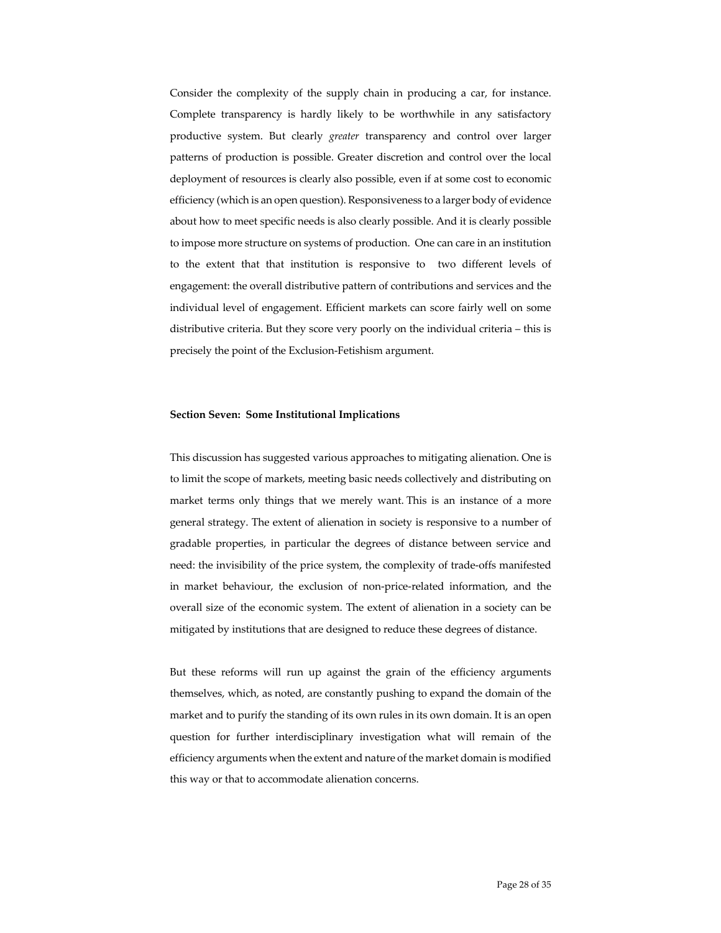Consider the complexity of the supply chain in producing a car, for instance. Complete transparency is hardly likely to be worthwhile in any satisfactory productive system. But clearly *greater* transparency and control over larger patterns of production is possible. Greater discretion and control over the local deployment of resources is clearly also possible, even if at some cost to economic efficiency (which is an open question). Responsiveness to a larger body of evidence about how to meet specific needs is also clearly possible. And it is clearly possible to impose more structure on systems of production. One can care in an institution to the extent that that institution is responsive to two different levels of engagement: the overall distributive pattern of contributions and services and the individual level of engagement. Efficient markets can score fairly well on some distributive criteria. But they score very poorly on the individual criteria – this is precisely the point of the Exclusion-Fetishism argument.

#### **Section Seven: Some Institutional Implications**

This discussion has suggested various approaches to mitigating alienation. One is to limit the scope of markets, meeting basic needs collectively and distributing on market terms only things that we merely want. This is an instance of a more general strategy. The extent of alienation in society is responsive to a number of gradable properties, in particular the degrees of distance between service and need: the invisibility of the price system, the complexity of trade-offs manifested in market behaviour, the exclusion of non-price-related information, and the overall size of the economic system. The extent of alienation in a society can be mitigated by institutions that are designed to reduce these degrees of distance.

But these reforms will run up against the grain of the efficiency arguments themselves, which, as noted, are constantly pushing to expand the domain of the market and to purify the standing of its own rules in its own domain. It is an open question for further interdisciplinary investigation what will remain of the efficiency arguments when the extent and nature of the market domain is modified this way or that to accommodate alienation concerns.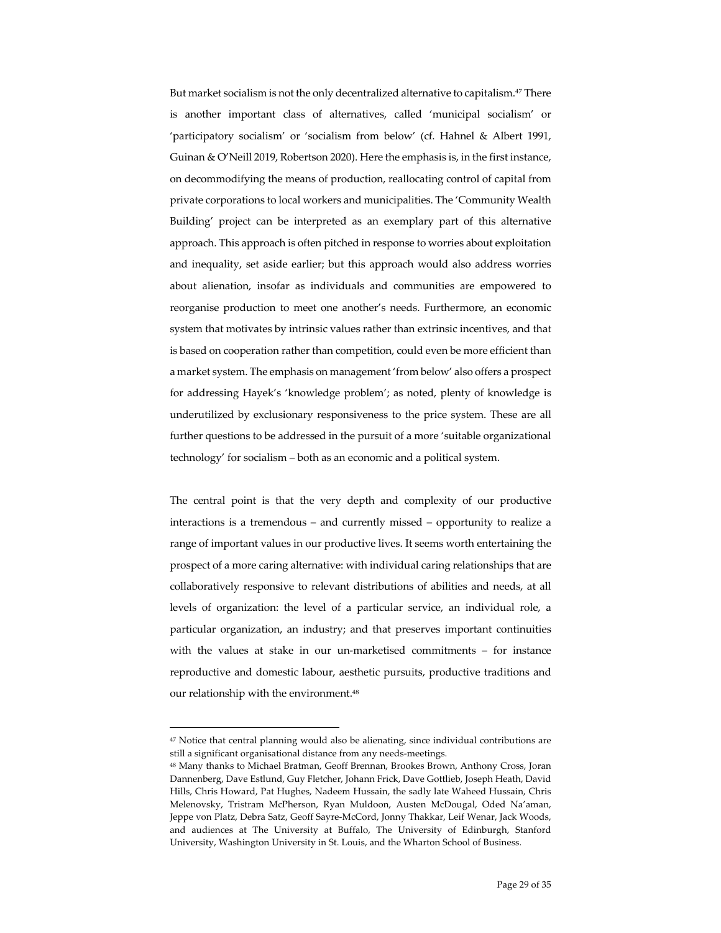But market socialism is not the only decentralized alternative to capitalism.<sup>47</sup> There is another important class of alternatives, called 'municipal socialism' or 'participatory socialism' or 'socialism from below' (cf. Hahnel & Albert 1991, Guinan & O'Neill 2019, Robertson 2020). Here the emphasis is, in the first instance, on decommodifying the means of production, reallocating control of capital from private corporations to local workers and municipalities. The 'Community Wealth Building' project can be interpreted as an exemplary part of this alternative approach. This approach is often pitched in response to worries about exploitation and inequality, set aside earlier; but this approach would also address worries about alienation, insofar as individuals and communities are empowered to reorganise production to meet one another's needs. Furthermore, an economic system that motivates by intrinsic values rather than extrinsic incentives, and that is based on cooperation rather than competition, could even be more efficient than a market system. The emphasis on management 'from below' also offers a prospect for addressing Hayek's 'knowledge problem'; as noted, plenty of knowledge is underutilized by exclusionary responsiveness to the price system. These are all further questions to be addressed in the pursuit of a more 'suitable organizational technology' for socialism – both as an economic and a political system.

The central point is that the very depth and complexity of our productive interactions is a tremendous – and currently missed – opportunity to realize a range of important values in our productive lives. It seems worth entertaining the prospect of a more caring alternative: with individual caring relationships that are collaboratively responsive to relevant distributions of abilities and needs, at all levels of organization: the level of a particular service, an individual role, a particular organization, an industry; and that preserves important continuities with the values at stake in our un-marketised commitments – for instance reproductive and domestic labour, aesthetic pursuits, productive traditions and our relationship with the environment.<sup>48</sup>

<sup>&</sup>lt;sup>47</sup> Notice that central planning would also be alienating, since individual contributions are still a significant organisational distance from any needs-meetings.

<sup>48</sup> Many thanks to Michael Bratman, Geoff Brennan, Brookes Brown, Anthony Cross, Joran Dannenberg, Dave Estlund, Guy Fletcher, Johann Frick, Dave Gottlieb, Joseph Heath, David Hills, Chris Howard, Pat Hughes, Nadeem Hussain, the sadly late Waheed Hussain, Chris Melenovsky, Tristram McPherson, Ryan Muldoon, Austen McDougal, Oded Na'aman, Jeppe von Platz, Debra Satz, Geoff Sayre-McCord, Jonny Thakkar, Leif Wenar, Jack Woods, and audiences at The University at Buffalo, The University of Edinburgh, Stanford University, Washington University in St. Louis, and the Wharton School of Business.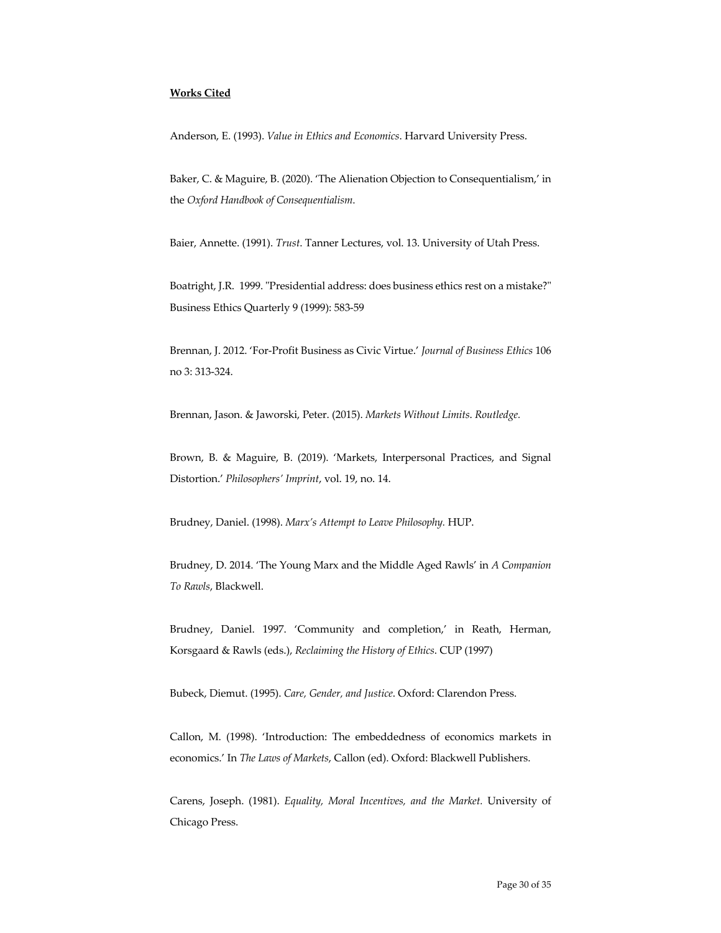# **Works Cited**

Anderson, E. (1993). *Value in Ethics and Economics*. Harvard University Press.

Baker, C. & Maguire, B. (2020). 'The Alienation Objection to Consequentialism,' in the *Oxford Handbook of Consequentialism*.

Baier, Annette. (1991). *Trust*. Tanner Lectures, vol. 13. University of Utah Press.

Boatright, J.R. 1999. "Presidential address: does business ethics rest on a mistake?" Business Ethics Quarterly 9 (1999): 583-59

Brennan, J. 2012. 'For-Profit Business as Civic Virtue.' *Journal of Business Ethics* 106 no 3: 313-324.

Brennan, Jason. & Jaworski, Peter. (2015). *Markets Without Limits*. *Routledge.*

Brown, B. & Maguire, B. (2019). 'Markets, Interpersonal Practices, and Signal Distortion.' *Philosophers' Imprint*, vol. 19, no. 14.

Brudney, Daniel. (1998). *Marx's Attempt to Leave Philosophy.* HUP.

Brudney, D. 2014. 'The Young Marx and the Middle Aged Rawls' in *A Companion To Rawls*, Blackwell.

Brudney, Daniel. 1997. 'Community and completion,' in Reath, Herman, Korsgaard & Rawls (eds.), *Reclaiming the History of Ethics*. CUP (1997)

Bubeck, Diemut. (1995). *Care, Gender, and Justice*. Oxford: Clarendon Press.

Callon, M. (1998). 'Introduction: The embeddedness of economics markets in economics.' In *The Laws of Markets*, Callon (ed). Oxford: Blackwell Publishers.

Carens, Joseph. (1981). *Equality, Moral Incentives, and the Market.* University of Chicago Press.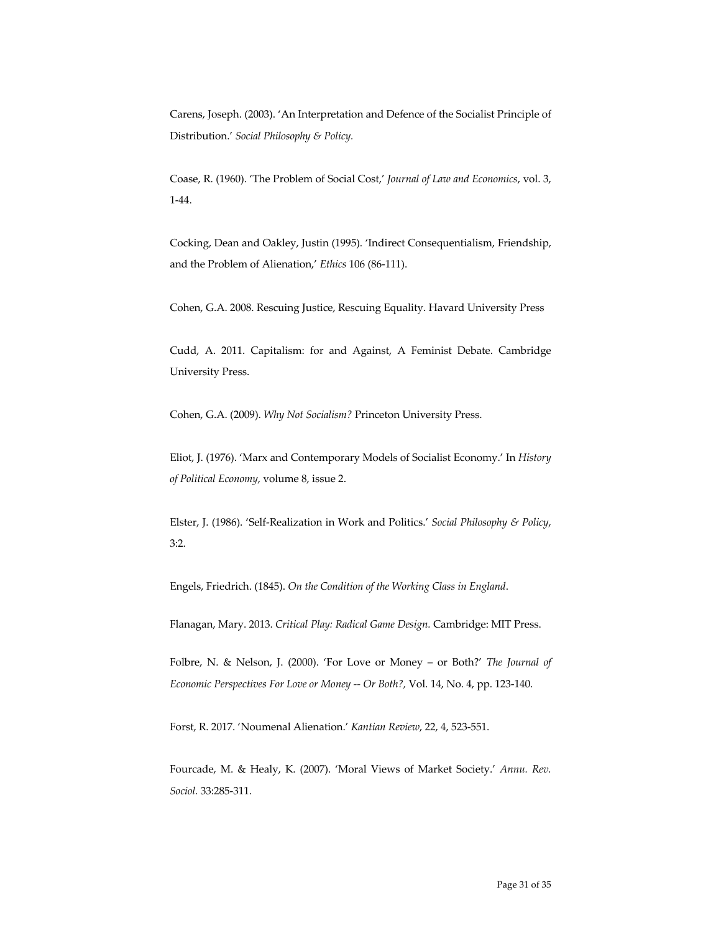Carens, Joseph. (2003). 'An Interpretation and Defence of the Socialist Principle of Distribution.' *Social Philosophy & Policy.* 

Coase, R. (1960). 'The Problem of Social Cost,' *Journal of Law and Economics*, vol. 3, 1-44.

Cocking, Dean and Oakley, Justin (1995). 'Indirect Consequentialism, Friendship, and the Problem of Alienation,' *Ethics* 106 (86-111).

Cohen, G.A. 2008. Rescuing Justice, Rescuing Equality. Havard University Press

Cudd, A. 2011. Capitalism: for and Against, A Feminist Debate. Cambridge University Press.

Cohen, G.A. (2009). *Why Not Socialism?* Princeton University Press.

Eliot, J. (1976). 'Marx and Contemporary Models of Socialist Economy.' In *History of Political Economy*, volume 8, issue 2.

Elster, J. (1986). 'Self-Realization in Work and Politics.' *Social Philosophy & Policy*, 3:2.

Engels, Friedrich. (1845). *On the Condition of the Working Class in England*.

Flanagan, Mary. 2013. *Critical Play: Radical Game Design.* Cambridge: MIT Press.

Folbre, N. & Nelson, J. (2000). 'For Love or Money – or Both?' *The Journal of Economic Perspectives For Love or Money -- Or Both?,* Vol. 14, No. 4, pp. 123-140.

Forst, R. 2017. 'Noumenal Alienation.' *Kantian Review*, 22, 4, 523-551.

Fourcade, M. & Healy, K. (2007). 'Moral Views of Market Society.' *Annu. Rev. Sociol.* 33:285-311.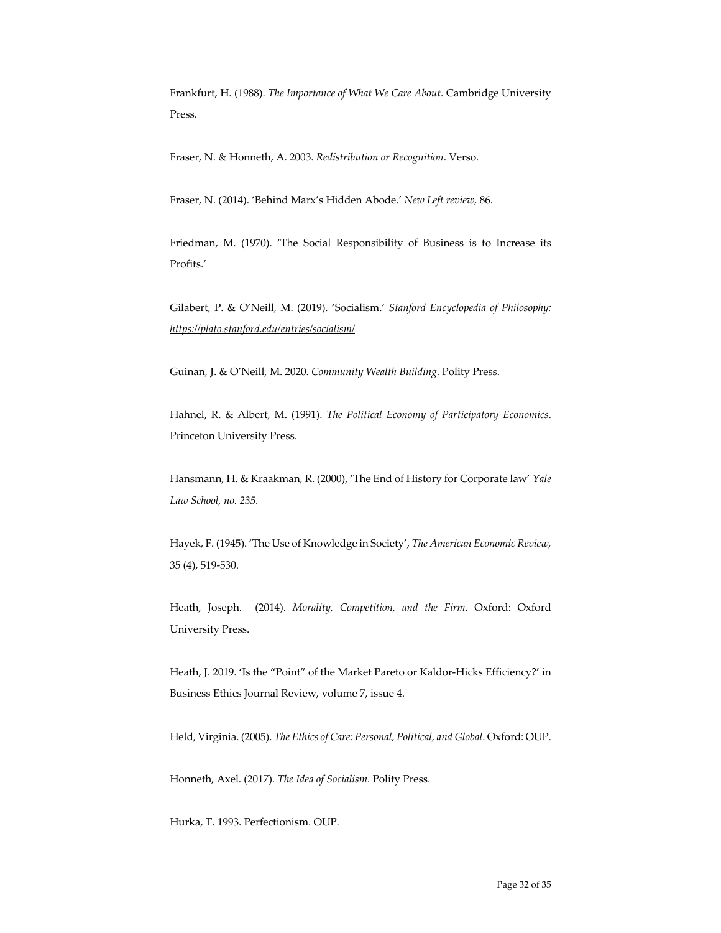Frankfurt, H. (1988). *The Importance of What We Care About*. Cambridge University Press.

Fraser, N. & Honneth, A. 2003. *Redistribution or Recognition*. Verso.

Fraser, N. (2014). 'Behind Marx's Hidden Abode.' *New Left review,* 86.

Friedman, M. (1970). 'The Social Responsibility of Business is to Increase its Profits.'

Gilabert, P. & O'Neill, M. (2019). 'Socialism.' *Stanford Encyclopedia of Philosophy: https://plato.stanford.edu/entries/socialism/*

Guinan, J. & O'Neill, M. 2020. *Community Wealth Building*. Polity Press.

Hahnel, R. & Albert, M. (1991). *The Political Economy of Participatory Economics*. Princeton University Press.

Hansmann, H. & Kraakman, R. (2000), 'The End of History for Corporate law' *Yale Law School, no. 235.*

Hayek, F. (1945). 'The Use of Knowledge in Society', *The American Economic Review,*  35 (4), 519-530.

Heath, Joseph. (2014). *Morality, Competition, and the Firm*. Oxford: Oxford University Press.

Heath, J. 2019. 'Is the "Point" of the Market Pareto or Kaldor-Hicks Efficiency?' in Business Ethics Journal Review, volume 7, issue 4.

Held, Virginia. (2005). *The Ethics of Care: Personal, Political, and Global*. Oxford: OUP.

Honneth, Axel. (2017). *The Idea of Socialism*. Polity Press.

Hurka, T. 1993. Perfectionism. OUP.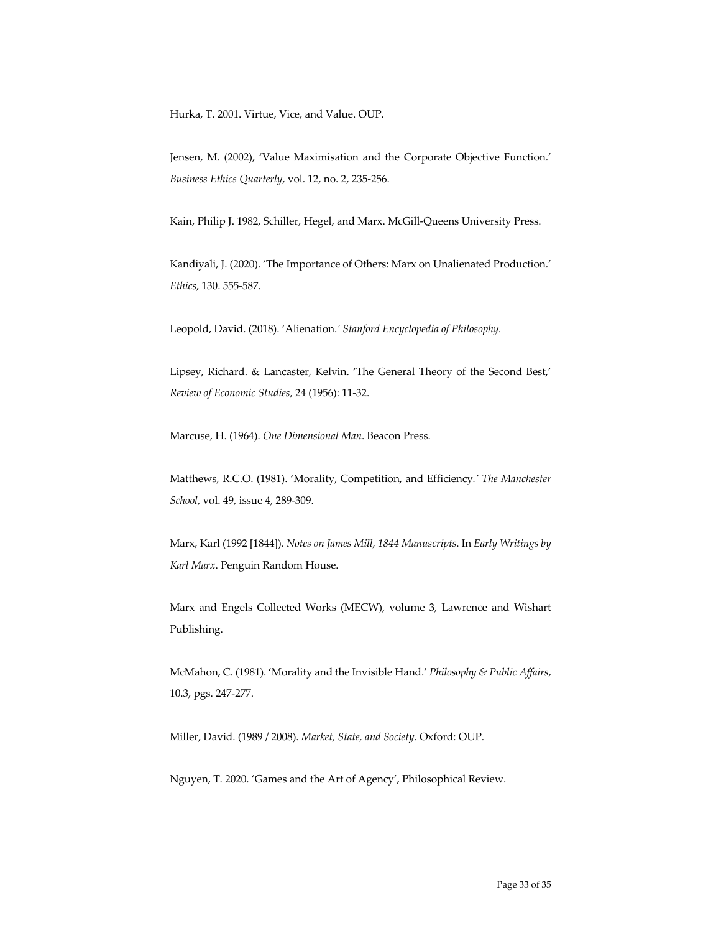Hurka, T. 2001. Virtue, Vice, and Value. OUP.

Jensen, M. (2002), 'Value Maximisation and the Corporate Objective Function.' *Business Ethics Quarterly*, vol. 12, no. 2, 235-256.

Kain, Philip J. 1982, Schiller, Hegel, and Marx. McGill-Queens University Press.

Kandiyali, J. (2020). 'The Importance of Others: Marx on Unalienated Production.' *Ethics*, 130. 555-587.

Leopold, David. (2018). 'Alienation.*' Stanford Encyclopedia of Philosophy.*

Lipsey, Richard. & Lancaster, Kelvin. 'The General Theory of the Second Best,' *Review of Economic Studies*, 24 (1956): 11-32.

Marcuse, H. (1964). *One Dimensional Man*. Beacon Press.

Matthews, R.C.O. (1981). 'Morality, Competition, and Efficiency*.' The Manchester School*, vol. 49, issue 4, 289-309.

Marx, Karl (1992 [1844]). *Notes on James Mill, 1844 Manuscripts*. In *Early Writings by Karl Marx*. Penguin Random House.

Marx and Engels Collected Works (MECW), volume 3, Lawrence and Wishart Publishing.

McMahon, C. (1981). 'Morality and the Invisible Hand.' *Philosophy & Public Affairs*, 10.3, pgs. 247-277.

Miller, David. (1989 / 2008). *Market, State, and Society*. Oxford: OUP.

Nguyen, T. 2020. 'Games and the Art of Agency', Philosophical Review.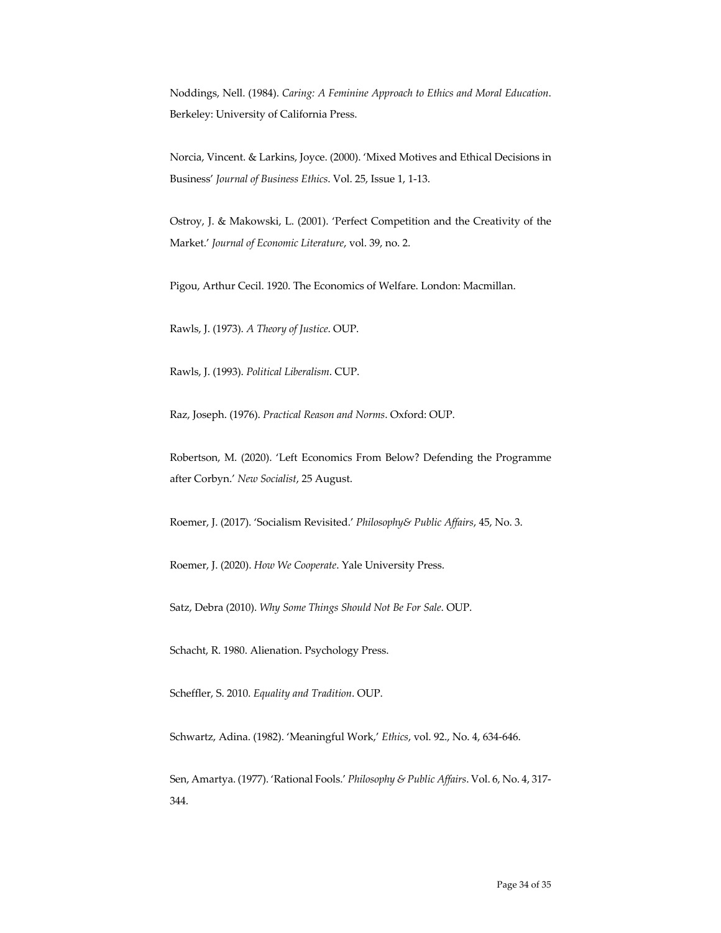Noddings, Nell. (1984). *Caring: A Feminine Approach to Ethics and Moral Education*. Berkeley: University of California Press.

Norcia, Vincent. & Larkins, Joyce. (2000). 'Mixed Motives and Ethical Decisions in Business' *Journal of Business Ethics*. Vol. 25, Issue 1, 1-13.

Ostroy, J. & Makowski, L. (2001). 'Perfect Competition and the Creativity of the Market.' *Journal of Economic Literature*, vol. 39, no. 2.

Pigou, Arthur Cecil. 1920. The Economics of Welfare. London: Macmillan.

Rawls, J. (1973). *A Theory of Justice*. OUP.

Rawls, J. (1993). *Political Liberalism*. CUP.

Raz, Joseph. (1976). *Practical Reason and Norms*. Oxford: OUP.

Robertson, M. (2020). 'Left Economics From Below? Defending the Programme after Corbyn.' *New Socialist*, 25 August.

Roemer, J. (2017). 'Socialism Revisited.' *Philosophy& Public Affairs*, 45, No. 3.

Roemer, J. (2020). *How We Cooperate*. Yale University Press.

Satz, Debra (2010). *Why Some Things Should Not Be For Sale*. OUP.

Schacht, R. 1980. Alienation. Psychology Press.

Scheffler, S. 2010. *Equality and Tradition*. OUP.

Schwartz, Adina. (1982). 'Meaningful Work,' *Ethics*, vol. 92., No. 4, 634-646.

Sen, Amartya. (1977). 'Rational Fools.' *Philosophy & Public Affairs*. Vol. 6, No. 4, 317- 344.